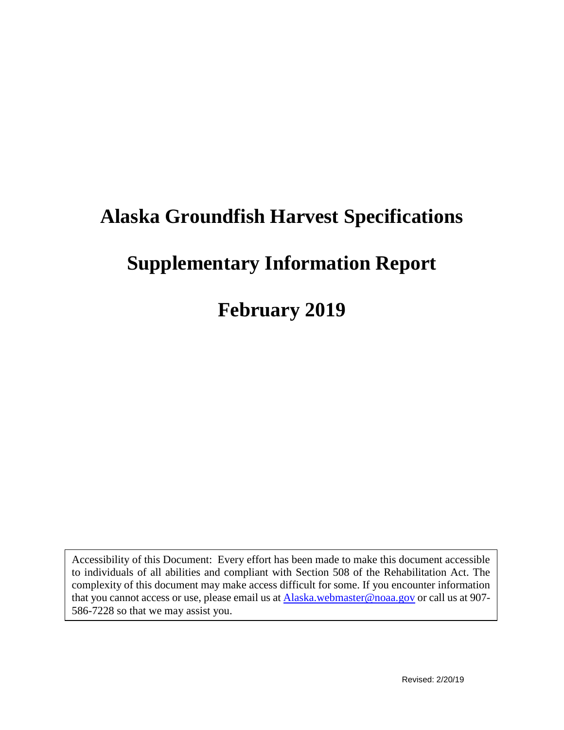# **Alaska Groundfish Harvest Specifications**

# **Supplementary Information Report**

 **February 2019** 

 Accessibility of this Document: Every effort has been made to make this document accessible to individuals of all abilities and compliant with Section 508 of the Rehabilitation Act. The complexity of this document may make access difficult for some. If you encounter information that you cannot access or use, please email us at **Alaska**.webmaster@noaa.gov or call us at 907-586-7228 so that we may assist you.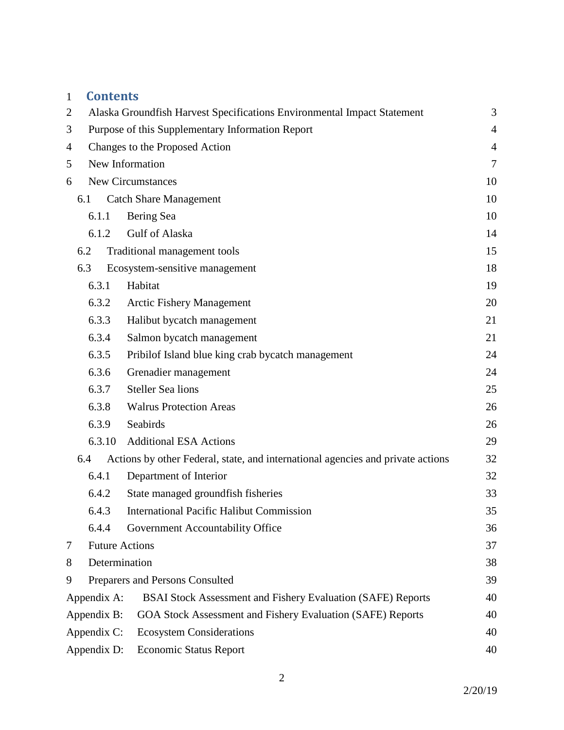| 1                                                                                 | <b>Contents</b>                                                           |                                                                                 |    |  |  |  |
|-----------------------------------------------------------------------------------|---------------------------------------------------------------------------|---------------------------------------------------------------------------------|----|--|--|--|
| 2                                                                                 | Alaska Groundfish Harvest Specifications Environmental Impact Statement   |                                                                                 |    |  |  |  |
| 3                                                                                 | Purpose of this Supplementary Information Report                          |                                                                                 |    |  |  |  |
| 4                                                                                 | Changes to the Proposed Action                                            |                                                                                 |    |  |  |  |
| 5                                                                                 | New Information                                                           |                                                                                 |    |  |  |  |
| 6                                                                                 | <b>New Circumstances</b>                                                  |                                                                                 | 10 |  |  |  |
|                                                                                   | 6.1                                                                       | <b>Catch Share Management</b>                                                   | 10 |  |  |  |
|                                                                                   | 6.1.1                                                                     | Bering Sea                                                                      | 10 |  |  |  |
|                                                                                   | 6.1.2                                                                     | <b>Gulf of Alaska</b>                                                           | 14 |  |  |  |
|                                                                                   | 6.2                                                                       | Traditional management tools                                                    | 15 |  |  |  |
|                                                                                   | 6.3                                                                       | Ecosystem-sensitive management                                                  | 18 |  |  |  |
|                                                                                   | 6.3.1                                                                     | Habitat                                                                         | 19 |  |  |  |
|                                                                                   | 6.3.2                                                                     | <b>Arctic Fishery Management</b>                                                | 20 |  |  |  |
|                                                                                   | 6.3.3                                                                     | Halibut bycatch management                                                      | 21 |  |  |  |
|                                                                                   | 6.3.4                                                                     | Salmon bycatch management                                                       | 21 |  |  |  |
|                                                                                   | 6.3.5                                                                     | Pribilof Island blue king crab bycatch management                               | 24 |  |  |  |
|                                                                                   | 6.3.6                                                                     | Grenadier management                                                            | 24 |  |  |  |
|                                                                                   | 6.3.7                                                                     | <b>Steller Sea lions</b>                                                        | 25 |  |  |  |
|                                                                                   | 6.3.8                                                                     | <b>Walrus Protection Areas</b>                                                  | 26 |  |  |  |
|                                                                                   | 6.3.9                                                                     | Seabirds                                                                        | 26 |  |  |  |
|                                                                                   | 6.3.10                                                                    | <b>Additional ESA Actions</b>                                                   | 29 |  |  |  |
|                                                                                   | 6.4                                                                       | Actions by other Federal, state, and international agencies and private actions | 32 |  |  |  |
|                                                                                   | 6.4.1                                                                     | Department of Interior                                                          | 32 |  |  |  |
|                                                                                   | 6.4.2                                                                     | State managed groundfish fisheries                                              | 33 |  |  |  |
|                                                                                   | 6.4.3                                                                     | <b>International Pacific Halibut Commission</b>                                 | 35 |  |  |  |
|                                                                                   | 6.4.4                                                                     | Government Accountability Office                                                | 36 |  |  |  |
| 7                                                                                 |                                                                           | <b>Future Actions</b>                                                           | 37 |  |  |  |
| 8                                                                                 | Determination                                                             |                                                                                 |    |  |  |  |
| 9                                                                                 | Preparers and Persons Consulted                                           |                                                                                 |    |  |  |  |
| <b>BSAI Stock Assessment and Fishery Evaluation (SAFE) Reports</b><br>Appendix A: |                                                                           |                                                                                 |    |  |  |  |
|                                                                                   | Appendix B:<br>GOA Stock Assessment and Fishery Evaluation (SAFE) Reports |                                                                                 |    |  |  |  |
|                                                                                   | <b>Ecosystem Considerations</b><br>Appendix C:                            |                                                                                 |    |  |  |  |
|                                                                                   | <b>Economic Status Report</b><br>Appendix D:                              |                                                                                 |    |  |  |  |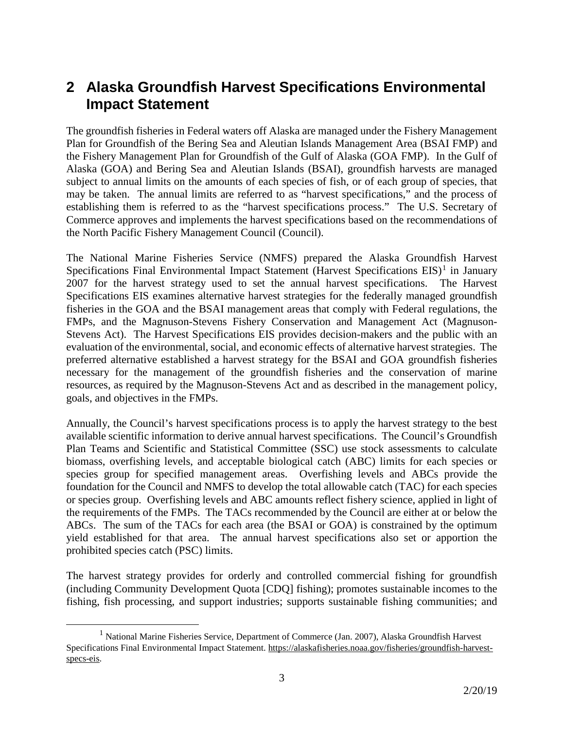## <span id="page-2-0"></span>**2 Alaska Groundfish Harvest Specifications Environmental Impact Statement**

The groundfish fisheries in Federal waters off Alaska are managed under the Fishery Management Plan for Groundfish of the Bering Sea and Aleutian Islands Management Area (BSAI FMP) and the Fishery Management Plan for Groundfish of the Gulf of Alaska (GOA FMP). In the Gulf of Alaska (GOA) and Bering Sea and Aleutian Islands (BSAI), groundfish harvests are managed subject to annual limits on the amounts of each species of fish, or of each group of species, that may be taken. The annual limits are referred to as "harvest specifications," and the process of establishing them is referred to as the "harvest specifications process." The U.S. Secretary of Commerce approves and implements the harvest specifications based on the recommendations of the North Pacific Fishery Management Council (Council).

 Specifications EIS examines alternative harvest strategies for the federally managed groundfish evaluation of the environmental, social, and economic effects of alternative harvest strategies. The preferred alternative established a harvest strategy for the BSAI and GOA groundfish fisheries The National Marine Fisheries Service (NMFS) prepared the Alaska Groundfish Harvest Specifications Final Environmental Impact Statement (Harvest Specifications  $EIS$ )<sup>[1](#page-2-1)</sup> in January 2007 for the harvest strategy used to set the annual harvest specifications. The Harvest fisheries in the GOA and the BSAI management areas that comply with Federal regulations, the FMPs, and the Magnuson-Stevens Fishery Conservation and Management Act (Magnuson-Stevens Act). The Harvest Specifications EIS provides decision-makers and the public with an necessary for the management of the groundfish fisheries and the conservation of marine resources, as required by the Magnuson-Stevens Act and as described in the management policy, goals, and objectives in the FMPs.

Annually, the Council's harvest specifications process is to apply the harvest strategy to the best available scientific information to derive annual harvest specifications. The Council's Groundfish Plan Teams and Scientific and Statistical Committee (SSC) use stock assessments to calculate biomass, overfishing levels, and acceptable biological catch (ABC) limits for each species or species group for specified management areas. Overfishing levels and ABCs provide the foundation for the Council and NMFS to develop the total allowable catch (TAC) for each species or species group. Overfishing levels and ABC amounts reflect fishery science, applied in light of the requirements of the FMPs. The TACs recommended by the Council are either at or below the ABCs. The sum of the TACs for each area (the BSAI or GOA) is constrained by the optimum yield established for that area. The annual harvest specifications also set or apportion the prohibited species catch (PSC) limits.

 The harvest strategy provides for orderly and controlled commercial fishing for groundfish (including Community Development Quota [CDQ] fishing); promotes sustainable incomes to the fishing, fish processing, and support industries; supports sustainable fishing communities; and

<span id="page-2-1"></span><sup>&</sup>lt;sup>1</sup> National Marine Fisheries Service, Department of Commerce (Jan. 2007), Alaska Groundfish Harvest Specifications Final Environmental Impact Statement. https://alaskafisheries.noaa.gov/fisheries/groundfish-harvestspecs-eis.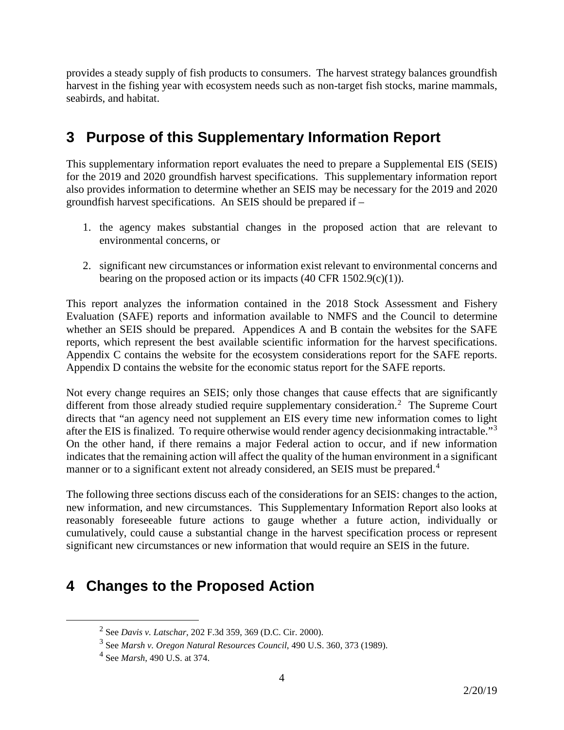provides a steady supply of fish products to consumers. The harvest strategy balances groundfish harvest in the fishing year with ecosystem needs such as non-target fish stocks, marine mammals, seabirds, and habitat.

## <span id="page-3-0"></span>**3 Purpose of this Supplementary Information Report**

 groundfish harvest specifications. An SEIS should be prepared if – This supplementary information report evaluates the need to prepare a Supplemental EIS (SEIS) for the 2019 and 2020 groundfish harvest specifications. This supplementary information report also provides information to determine whether an SEIS may be necessary for the 2019 and 2020

- 1. the agency makes substantial changes in the proposed action that are relevant to environmental concerns, or
- 2. significant new circumstances or information exist relevant to environmental concerns and bearing on the proposed action or its impacts  $(40 \text{ CFR } 1502.9(c)(1))$ .

 whether an SEIS should be prepared. Appendices A and B contain the websites for the SAFE reports, which represent the best available scientific information for the harvest specifications. Appendix C contains the website for the ecosystem considerations report for the SAFE reports. This report analyzes the information contained in the 2018 Stock Assessment and Fishery Evaluation (SAFE) reports and information available to NMFS and the Council to determine Appendix D contains the website for the economic status report for the SAFE reports.

different from those already studied require supplementary consideration.<sup>2</sup> The Supreme Court after the EIS is finalized. To require otherwise would render agency decisionmaking intractable."<sup>3</sup> manner or to a significant extent not already considered, an SEIS must be prepared.<sup>[4](#page-3-4)</sup> Not every change requires an SEIS; only those changes that cause effects that are significantly directs that "an agency need not supplement an EIS every time new information comes to light On the other hand, if there remains a major Federal action to occur, and if new information indicates that the remaining action will affect the quality of the human environment in a significant

The following three sections discuss each of the considerations for an SEIS: changes to the action, new information, and new circumstances. This Supplementary Information Report also looks at reasonably foreseeable future actions to gauge whether a future action, individually or cumulatively, could cause a substantial change in the harvest specification process or represent significant new circumstances or new information that would require an SEIS in the future.

## <span id="page-3-4"></span><span id="page-3-3"></span><span id="page-3-2"></span><span id="page-3-1"></span>**4 Changes to the Proposed Action**

<sup>&</sup>lt;sup>2</sup> See Davis v. Latschar, 202 F.3d 359, 369 (D.C. Cir. 2000).

<sup>&</sup>lt;sup>3</sup> See *Marsh v. Oregon Natural Resources Council*, 490 U.S. 360, 373 (1989).

<sup>4</sup> See *Marsh*, 490 U.S. at 374.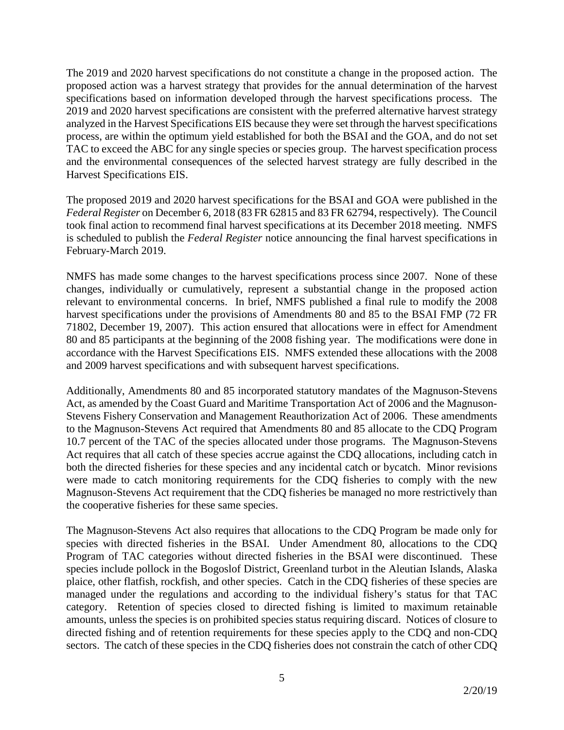TAC to exceed the ABC for any single species or species group. The harvest specification process and the environmental consequences of the selected harvest strategy are fully described in the Harvest Specifications EIS. The 2019 and 2020 harvest specifications do not constitute a change in the proposed action. The proposed action was a harvest strategy that provides for the annual determination of the harvest specifications based on information developed through the harvest specifications process. The 2019 and 2020 harvest specifications are consistent with the preferred alternative harvest strategy analyzed in the Harvest Specifications EIS because they were set through the harvest specifications process, are within the optimum yield established for both the BSAI and the GOA, and do not set

 *Federal Register* on December 6, 2018 (83 FR 62815 and 83 FR 62794, respectively). The Council took final action to recommend final harvest specifications at its December 2018 meeting. NMFS February-March 2019. The proposed 2019 and 2020 harvest specifications for the BSAI and GOA were published in the is scheduled to publish the *Federal Register* notice announcing the final harvest specifications in

 harvest specifications under the provisions of Amendments 80 and 85 to the BSAI FMP (72 FR and 2009 harvest specifications and with subsequent harvest specifications. NMFS has made some changes to the harvest specifications process since 2007. None of these changes, individually or cumulatively, represent a substantial change in the proposed action relevant to environmental concerns. In brief, NMFS published a final rule to modify the 2008 71802, December 19, 2007). This action ensured that allocations were in effect for Amendment 80 and 85 participants at the beginning of the 2008 fishing year. The modifications were done in accordance with the Harvest Specifications EIS. NMFS extended these allocations with the 2008

 both the directed fisheries for these species and any incidental catch or bycatch. Minor revisions Additionally, Amendments 80 and 85 incorporated statutory mandates of the Magnuson-Stevens Act, as amended by the Coast Guard and Maritime Transportation Act of 2006 and the Magnuson-Stevens Fishery Conservation and Management Reauthorization Act of 2006. These amendments to the Magnuson-Stevens Act required that Amendments 80 and 85 allocate to the CDQ Program 10.7 percent of the TAC of the species allocated under those programs. The Magnuson-Stevens Act requires that all catch of these species accrue against the CDQ allocations, including catch in were made to catch monitoring requirements for the CDQ fisheries to comply with the new Magnuson-Stevens Act requirement that the CDQ fisheries be managed no more restrictively than the cooperative fisheries for these same species.

 The Magnuson-Stevens Act also requires that allocations to the CDQ Program be made only for plaice, other flatfish, rockfish, and other species. Catch in the CDQ fisheries of these species are directed fishing and of retention requirements for these species apply to the CDQ and non-CDQ species with directed fisheries in the BSAI. Under Amendment 80, allocations to the CDQ Program of TAC categories without directed fisheries in the BSAI were discontinued. These species include pollock in the Bogoslof District, Greenland turbot in the Aleutian Islands, Alaska managed under the regulations and according to the individual fishery's status for that TAC category. Retention of species closed to directed fishing is limited to maximum retainable amounts, unless the species is on prohibited species status requiring discard. Notices of closure to sectors. The catch of these species in the CDQ fisheries does not constrain the catch of other CDQ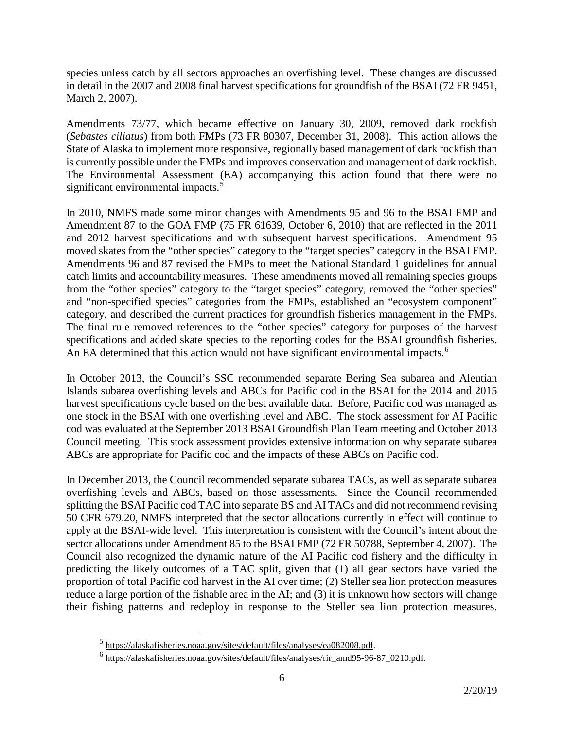species unless catch by all sectors approaches an overfishing level. These changes are discussed in detail in the 2007 and 2008 final harvest specifications for groundfish of the BSAI (72 FR 9451, March 2, 2007).

 The Environmental Assessment (EA) accompanying this action found that there were no significant environmental impacts.<sup>5</sup> Amendments 73/77, which became effective on January 30, 2009, removed dark rockfish (*Sebastes ciliatus*) from both FMPs (73 FR 80307, December 31, 2008). This action allows the State of Alaska to implement more responsive, regionally based management of dark rockfish than is currently possible under the FMPs and improves conservation and management of dark rockfish.

 In 2010, NMFS made some minor changes with Amendments 95 and 96 to the BSAI FMP and moved skates from the "other species" category to the "target species" category in the BSAI FMP. catch limits and accountability measures. These amendments moved all remaining species groups and "non-specified species" categories from the FMPs, established an "ecosystem component" specifications and added skate species to the reporting codes for the BSAI groundfish fisheries. Amendment 87 to the GOA FMP (75 FR 61639, October 6, 2010) that are reflected in the 2011 and 2012 harvest specifications and with subsequent harvest specifications. Amendment 95 Amendments 96 and 87 revised the FMPs to meet the National Standard 1 guidelines for annual from the "other species" category to the "target species" category, removed the "other species" category, and described the current practices for groundfish fisheries management in the FMPs. The final rule removed references to the "other species" category for purposes of the harvest An EA determined that this action would not have significant environmental impacts.<sup>[6](#page-5-1)</sup>

 Islands subarea overfishing levels and ABCs for Pacific cod in the BSAI for the 2014 and 2015 In October 2013, the Council's SSC recommended separate Bering Sea subarea and Aleutian harvest specifications cycle based on the best available data. Before, Pacific cod was managed as one stock in the BSAI with one overfishing level and ABC. The stock assessment for AI Pacific cod was evaluated at the September 2013 BSAI Groundfish Plan Team meeting and October 2013 Council meeting. This stock assessment provides extensive information on why separate subarea ABCs are appropriate for Pacific cod and the impacts of these ABCs on Pacific cod.

 sector allocations under Amendment 85 to the BSAI FMP (72 FR 50788, September 4, 2007). The their fishing patterns and redeploy in response to the Steller sea lion protection measures.<br>
Shttps://alaskafisheries.noaa.gov/sites/default/files/analyses/ea082008.pdf.<br>
6 https://alaskafisheries.noaa.gov/sites/default/f In December 2013, the Council recommended separate subarea TACs, as well as separate subarea overfishing levels and ABCs, based on those assessments. Since the Council recommended splitting the BSAI Pacific cod TAC into separate BS and AI TACs and did not recommend revising 50 CFR 679.20, NMFS interpreted that the sector allocations currently in effect will continue to apply at the BSAI-wide level. This interpretation is consistent with the Council's intent about the Council also recognized the dynamic nature of the AI Pacific cod fishery and the difficulty in predicting the likely outcomes of a TAC split, given that (1) all gear sectors have varied the proportion of total Pacific cod harvest in the AI over time; (2) Steller sea lion protection measures reduce a large portion of the fishable area in the AI; and (3) it is unknown how sectors will change

<span id="page-5-1"></span><span id="page-5-0"></span>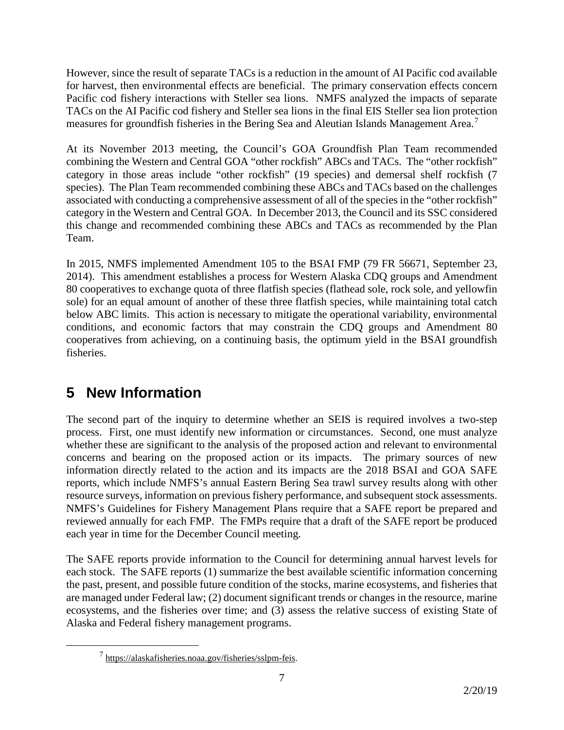TACs on the AI Pacific cod fishery and Steller sea lions in the final EIS Steller sea lion protection measures for groundfish fisheries in the Bering Sea and Aleutian Islands Management Area.<sup>[7](#page-6-1)</sup> However, since the result of separate TACs is a reduction in the amount of AI Pacific cod available for harvest, then environmental effects are beneficial. The primary conservation effects concern Pacific cod fishery interactions with Steller sea lions. NMFS analyzed the impacts of separate

 combining the Western and Central GOA "other rockfish" ABCs and TACs. The "other rockfish" Team. At its November 2013 meeting, the Council's GOA Groundfish Plan Team recommended category in those areas include "other rockfish" (19 species) and demersal shelf rockfish (7 species). The Plan Team recommended combining these ABCs and TACs based on the challenges associated with conducting a comprehensive assessment of all of the species in the "other rockfish" category in the Western and Central GOA. In December 2013, the Council and its SSC considered this change and recommended combining these ABCs and TACs as recommended by the Plan

 sole) for an equal amount of another of these three flatfish species, while maintaining total catch cooperatives from achieving, on a continuing basis, the optimum yield in the BSAI groundfish In 2015, NMFS implemented Amendment 105 to the BSAI FMP (79 FR 56671, September 23, 2014). This amendment establishes a process for Western Alaska CDQ groups and Amendment 80 cooperatives to exchange quota of three flatfish species (flathead sole, rock sole, and yellowfin below ABC limits. This action is necessary to mitigate the operational variability, environmental conditions, and economic factors that may constrain the CDQ groups and Amendment 80 fisheries.

# <span id="page-6-0"></span>**5 New Information**

<span id="page-6-1"></span> $\overline{a}$ 

 process. First, one must identify new information or circumstances. Second, one must analyze The second part of the inquiry to determine whether an SEIS is required involves a two-step whether these are significant to the analysis of the proposed action and relevant to environmental concerns and bearing on the proposed action or its impacts. The primary sources of new information directly related to the action and its impacts are the 2018 BSAI and GOA SAFE reports, which include NMFS's annual Eastern Bering Sea trawl survey results along with other resource surveys, information on previous fishery performance, and subsequent stock assessments. NMFS's Guidelines for Fishery Management Plans require that a SAFE report be prepared and reviewed annually for each FMP. The FMPs require that a draft of the SAFE report be produced each year in time for the December Council meeting.

The SAFE reports provide information to the Council for determining annual harvest levels for each stock. The SAFE reports (1) summarize the best available scientific information concerning the past, present, and possible future condition of the stocks, marine ecosystems, and fisheries that are managed under Federal law; (2) document significant trends or changes in the resource, marine ecosystems, and the fisheries over time; and (3) assess the relative success of existing State of Alaska and Federal fishery management programs.

<sup>7</sup> https://alaskafisheries.noaa.gov/fisheries/sslpm-feis.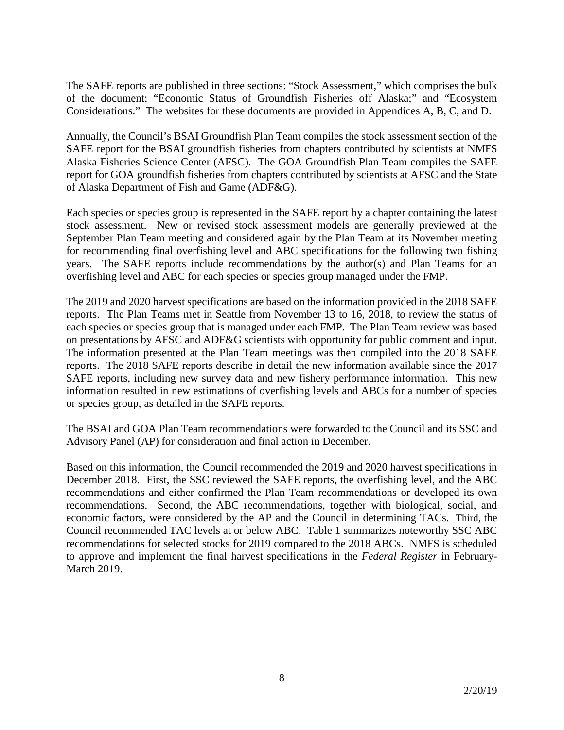The SAFE reports are published in three sections: "Stock Assessment," which comprises the bulk of the document; "Economic Status of Groundfish Fisheries off Alaska;" and "Ecosystem Considerations." The websites for these documents are provided in Appendices A, B, C, and D.

 Alaska Fisheries Science Center (AFSC). The GOA Groundfish Plan Team compiles the SAFE of Alaska Department of Fish and Game (ADF&G). Annually, the Council's BSAI Groundfish Plan Team compiles the stock assessment section of the SAFE report for the BSAI groundfish fisheries from chapters contributed by scientists at NMFS report for GOA groundfish fisheries from chapters contributed by scientists at AFSC and the State

 for recommending final overfishing level and ABC specifications for the following two fishing Each species or species group is represented in the SAFE report by a chapter containing the latest stock assessment. New or revised stock assessment models are generally previewed at the September Plan Team meeting and considered again by the Plan Team at its November meeting years. The SAFE reports include recommendations by the author(s) and Plan Teams for an overfishing level and ABC for each species or species group managed under the FMP.

 on presentations by AFSC and ADF&G scientists with opportunity for public comment and input. The 2019 and 2020 harvest specifications are based on the information provided in the 2018 SAFE reports. The Plan Teams met in Seattle from November 13 to 16, 2018, to review the status of each species or species group that is managed under each FMP. The Plan Team review was based The information presented at the Plan Team meetings was then compiled into the 2018 SAFE reports. The 2018 SAFE reports describe in detail the new information available since the 2017 SAFE reports, including new survey data and new fishery performance information. This new information resulted in new estimations of overfishing levels and ABCs for a number of species or species group, as detailed in the SAFE reports.

The BSAI and GOA Plan Team recommendations were forwarded to the Council and its SSC and Advisory Panel (AP) for consideration and final action in December.

 economic factors, were considered by the AP and the Council in determining TACs. Third, the recommendations for selected stocks for 2019 compared to the 2018 ABCs. NMFS is scheduled March 2019. Based on this information, the Council recommended the 2019 and 2020 harvest specifications in December 2018. First, the SSC reviewed the SAFE reports, the overfishing level, and the ABC recommendations and either confirmed the Plan Team recommendations or developed its own recommendations. Second, the ABC recommendations, together with biological, social, and Council recommended TAC levels at or below ABC. Table 1 summarizes noteworthy SSC ABC to approve and implement the final harvest specifications in the *Federal Register* in February-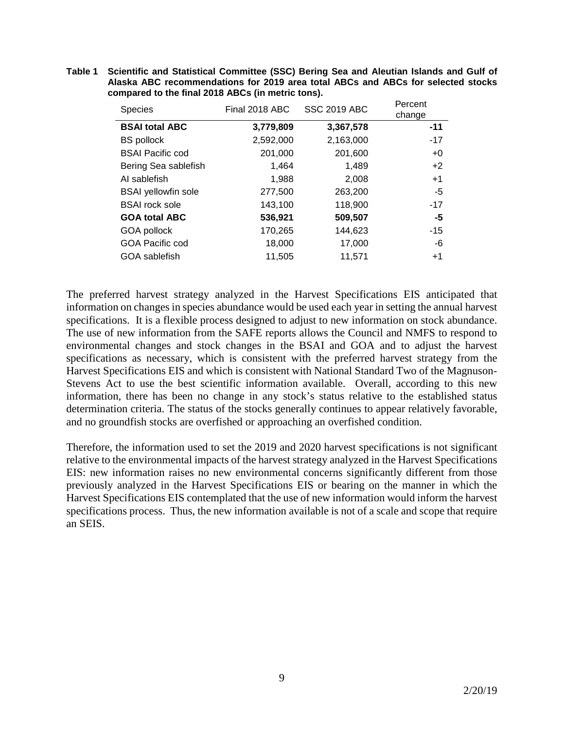| Table 1 | Scientific and Statistical Committee (SSC) Bering Sea and Aleutian Islands and Gulf of |  |  |  |
|---------|----------------------------------------------------------------------------------------|--|--|--|
|         | Alaska ABC recommendations for 2019 area total ABCs and ABCs for selected stocks       |  |  |  |
|         | compared to the final 2018 ABCs (in metric tons).                                      |  |  |  |

| Final 2018 ABC | <b>SSC 2019 ABC</b> | Percent<br>change |
|----------------|---------------------|-------------------|
| 3,779,809      | 3,367,578           | $-11$             |
| 2,592,000      | 2,163,000           | $-17$             |
| 201,000        | 201,600             | $+0$              |
| 1,464          | 1,489               | $+2$              |
| 1,988          | 2,008               | $+1$              |
| 277,500        | 263,200             | -5                |
| 143,100        | 118,900             | $-17$             |
| 536,921        | 509,507             | -5                |
| 170,265        | 144,623             | $-15$             |
| 18,000         | 17,000              | -6                |
| 11,505         | 11,571              | $+1$              |
|                |                     |                   |

 environmental changes and stock changes in the BSAI and GOA and to adjust the harvest Stevens Act to use the best scientific information available. Overall, according to this new and no groundfish stocks are overfished or approaching an overfished condition. The preferred harvest strategy analyzed in the Harvest Specifications EIS anticipated that information on changes in species abundance would be used each year in setting the annual harvest specifications. It is a flexible process designed to adjust to new information on stock abundance. The use of new information from the SAFE reports allows the Council and NMFS to respond to specifications as necessary, which is consistent with the preferred harvest strategy from the Harvest Specifications EIS and which is consistent with National Standard Two of the Magnusoninformation, there has been no change in any stock's status relative to the established status determination criteria. The status of the stocks generally continues to appear relatively favorable,

 EIS: new information raises no new environmental concerns significantly different from those specifications process. Thus, the new information available is not of a scale and scope that require Therefore, the information used to set the 2019 and 2020 harvest specifications is not significant relative to the environmental impacts of the harvest strategy analyzed in the Harvest Specifications previously analyzed in the Harvest Specifications EIS or bearing on the manner in which the Harvest Specifications EIS contemplated that the use of new information would inform the harvest an SEIS.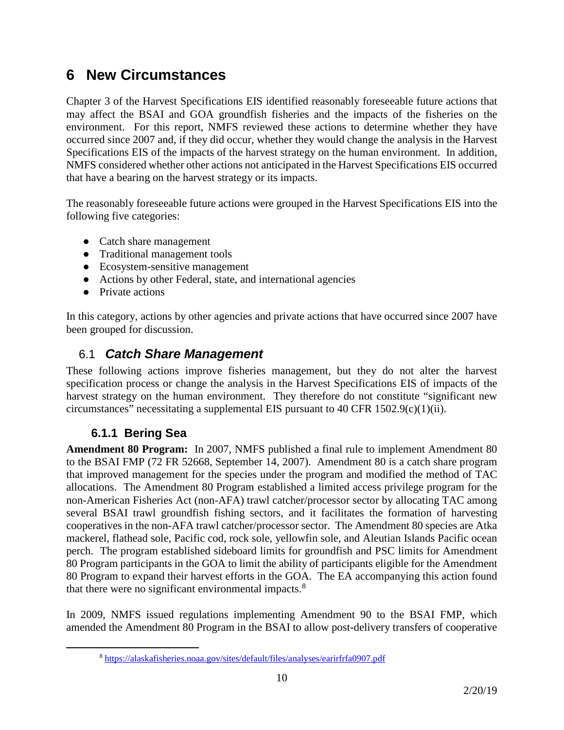## <span id="page-9-0"></span>**6 New Circumstances**

 occurred since 2007 and, if they did occur, whether they would change the analysis in the Harvest Chapter 3 of the Harvest Specifications EIS identified reasonably foreseeable future actions that may affect the BSAI and GOA groundfish fisheries and the impacts of the fisheries on the environment. For this report, NMFS reviewed these actions to determine whether they have Specifications EIS of the impacts of the harvest strategy on the human environment. In addition, NMFS considered whether other actions not anticipated in the Harvest Specifications EIS occurred that have a bearing on the harvest strategy or its impacts.

The reasonably foreseeable future actions were grouped in the Harvest Specifications EIS into the following five categories:

- Catch share management
- Traditional management tools
- Ecosystem-sensitive management
- Actions by other Federal, state, and international agencies
- Private actions

 In this category, actions by other agencies and private actions that have occurred since 2007 have been grouped for discussion.

### <span id="page-9-1"></span>6.1 *Catch Share Management*

These following actions improve fisheries management, but they do not alter the harvest specification process or change the analysis in the Harvest Specifications EIS of impacts of the harvest strategy on the human environment. They therefore do not constitute "significant new circumstances" necessitating a supplemental EIS pursuant to 40 CFR 1502.9(c)(1)(ii).

#### <span id="page-9-2"></span>**6.1.1 Bering Sea**

<span id="page-9-3"></span> $\overline{a}$ 

 **Amendment 80 Program:** In 2007, NMFS published a final rule to implement Amendment 80 to the BSAI FMP (72 FR 52668, September 14, 2007). Amendment 80 is a catch share program cooperatives in the non-AFA trawl catcher/processor sector. The Amendment 80 species are Atka 80 Program to expand their harvest efforts in the GOA. The EA accompanying this action found that improved management for the species under the program and modified the method of TAC allocations. The Amendment 80 Program established a limited access privilege program for the non-American Fisheries Act (non-AFA) trawl catcher/processor sector by allocating TAC among several BSAI trawl groundfish fishing sectors, and it facilitates the formation of harvesting mackerel, flathead sole, Pacific cod, rock sole, yellowfin sole, and Aleutian Islands Pacific ocean perch. The program established sideboard limits for groundfish and PSC limits for Amendment 80 Program participants in the GOA to limit the ability of participants eligible for the Amendment that there were no significant environmental impacts. $8<sup>8</sup>$  $8<sup>8</sup>$ 

 amended the Amendment 80 Program in the BSAI to allow post-delivery transfers of cooperative In 2009, NMFS issued regulations implementing Amendment 90 to the BSAI FMP, which

<sup>8</sup><https://alaskafisheries.noaa.gov/sites/default/files/analyses/earirfrfa0907.pdf>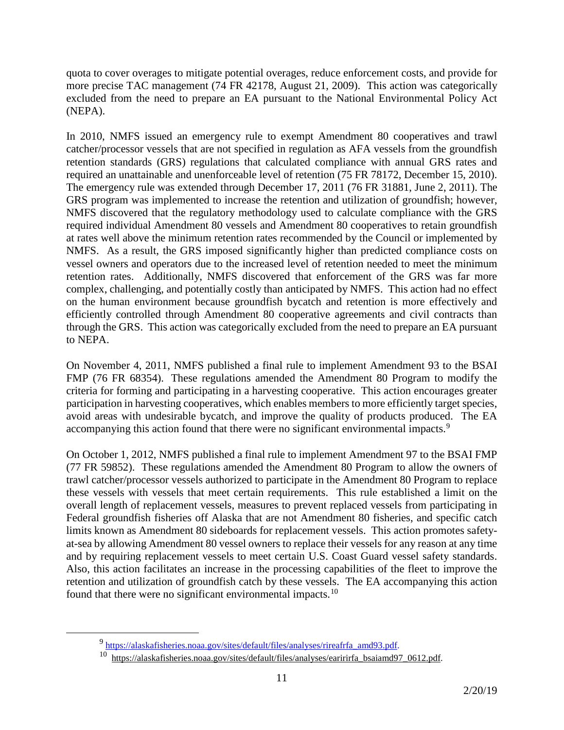quota to cover overages to mitigate potential overages, reduce enforcement costs, and provide for more precise TAC management (74 FR 42178, August 21, 2009). This action was categorically excluded from the need to prepare an EA pursuant to the National Environmental Policy Act (NEPA).

 catcher/processor vessels that are not specified in regulation as AFA vessels from the groundfish retention standards (GRS) regulations that calculated compliance with annual GRS rates and The emergency rule was extended through December 17, 2011 (76 FR 31881, June 2, 2011). The In 2010, NMFS issued an emergency rule to exempt Amendment 80 cooperatives and trawl required an unattainable and unenforceable level of retention (75 FR 78172, December 15, 2010). GRS program was implemented to increase the retention and utilization of groundfish; however, NMFS discovered that the regulatory methodology used to calculate compliance with the GRS required individual Amendment 80 vessels and Amendment 80 cooperatives to retain groundfish at rates well above the minimum retention rates recommended by the Council or implemented by NMFS. As a result, the GRS imposed significantly higher than predicted compliance costs on vessel owners and operators due to the increased level of retention needed to meet the minimum retention rates. Additionally, NMFS discovered that enforcement of the GRS was far more complex, challenging, and potentially costly than anticipated by NMFS. This action had no effect on the human environment because groundfish bycatch and retention is more effectively and efficiently controlled through Amendment 80 cooperative agreements and civil contracts than through the GRS. This action was categorically excluded from the need to prepare an EA pursuant to NEPA.

 On November 4, 2011, NMFS published a final rule to implement Amendment 93 to the BSAI FMP (76 FR 68354). These regulations amended the Amendment 80 Program to modify the criteria for forming and participating in a harvesting cooperative. This action encourages greater participation in harvesting cooperatives, which enables members to more efficiently target species, avoid areas with undesirable bycatch, and improve the quality of products produced. The EA accompanying this action found that there were no significant environmental impacts.<sup>9</sup>

 at-sea by allowing Amendment 80 vessel owners to replace their vessels for any reason at any time and by requiring replacement vessels to meet certain U.S. Coast Guard vessel safety standards. On October 1, 2012, NMFS published a final rule to implement Amendment 97 to the BSAI FMP (77 FR 59852). These regulations amended the Amendment 80 Program to allow the owners of trawl catcher/processor vessels authorized to participate in the Amendment 80 Program to replace these vessels with vessels that meet certain requirements. This rule established a limit on the overall length of replacement vessels, measures to prevent replaced vessels from participating in Federal groundfish fisheries off Alaska that are not Amendment 80 fisheries, and specific catch limits known as Amendment 80 sideboards for replacement vessels. This action promotes safety-Also, this action facilitates an increase in the processing capabilities of the fleet to improve the retention and utilization of groundfish catch by these vessels. The EA accompanying this action found that there were no significant environmental impacts.<sup>[10](#page-10-1)</sup>

<span id="page-10-1"></span><span id="page-10-0"></span>

<sup>&</sup>lt;sup>9</sup> https://alaskafisheries.noaa.gov/sites/default/files/analyses/rireafrfa\_amd93.pdf.<br><sup>10</sup> https://alaskafisheries.noaa.gov/sites/default/files/analyses/earirirfa\_bsaiamd97\_0612.pdf.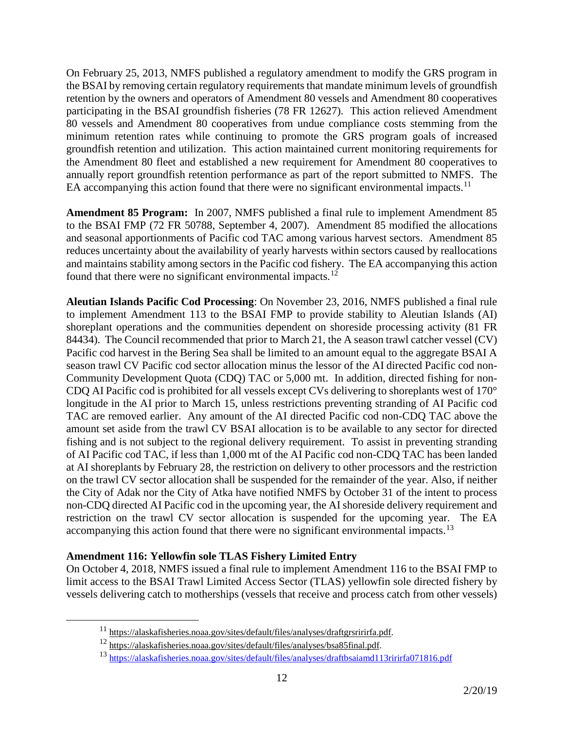participating in the BSAI groundfish fisheries (78 FR 12627). This action relieved Amendment On February 25, 2013, NMFS published a regulatory amendment to modify the GRS program in the BSAI by removing certain regulatory requirements that mandate minimum levels of groundfish retention by the owners and operators of Amendment 80 vessels and Amendment 80 cooperatives 80 vessels and Amendment 80 cooperatives from undue compliance costs stemming from the minimum retention rates while continuing to promote the GRS program goals of increased groundfish retention and utilization. This action maintained current monitoring requirements for the Amendment 80 fleet and established a new requirement for Amendment 80 cooperatives to annually report groundfish retention performance as part of the report submitted to NMFS. The EA accompanying this action found that there were no significant environmental impacts.<sup>11</sup>

 **Amendment 85 Program:** In 2007, NMFS published a final rule to implement Amendment 85 to the BSAI FMP (72 FR 50788, September 4, 2007). Amendment 85 modified the allocations reduces uncertainty about the availability of yearly harvests within sectors caused by reallocations and seasonal apportionments of Pacific cod TAC among various harvest sectors. Amendment 85 and maintains stability among sectors in the Pacific cod fishery. The EA accompanying this action found that there were no significant environmental impacts.<sup>[12](#page-11-1)</sup>

 84434). The Council recommended that prior to March 21, the A season trawl catcher vessel (CV) amount set aside from the trawl CV BSAI allocation is to be available to any sector for directed at AI shoreplants by February 28, the restriction on delivery to other processors and the restriction restriction on the trawl CV sector allocation is suspended for the upcoming year. The EA **Aleutian Islands Pacific Cod Processing**: On November 23, 2016, NMFS published a final rule to implement Amendment 113 to the BSAI FMP to provide stability to Aleutian Islands (AI) shoreplant operations and the communities dependent on shoreside processing activity (81 FR Pacific cod harvest in the Bering Sea shall be limited to an amount equal to the aggregate BSAI A season trawl CV Pacific cod sector allocation minus the lessor of the AI directed Pacific cod non-Community Development Quota (CDQ) TAC or 5,000 mt. In addition, directed fishing for non-CDQ AI Pacific cod is prohibited for all vessels except CVs delivering to shoreplants west of 170° longitude in the AI prior to March 15, unless restrictions preventing stranding of AI Pacific cod TAC are removed earlier. Any amount of the AI directed Pacific cod non-CDQ TAC above the fishing and is not subject to the regional delivery requirement. To assist in preventing stranding of AI Pacific cod TAC, if less than 1,000 mt of the AI Pacific cod non-CDQ TAC has been landed on the trawl CV sector allocation shall be suspended for the remainder of the year. Also, if neither the City of Adak nor the City of Atka have notified NMFS by October 31 of the intent to process non-CDQ directed AI Pacific cod in the upcoming year, the AI shoreside delivery requirement and accompanying this action found that there were no significant environmental impacts.<sup>13</sup>

#### **Amendment 116: Yellowfin sole TLAS Fishery Limited Entry**

<span id="page-11-2"></span><span id="page-11-1"></span><span id="page-11-0"></span> $\overline{a}$ 

 On October 4, 2018, NMFS issued a final rule to implement Amendment 116 to the BSAI FMP to limit access to the BSAI Trawl Limited Access Sector (TLAS) yellowfin sole directed fishery by vessels delivering catch to motherships (vessels that receive and process catch from other vessels)

<sup>&</sup>lt;sup>11</sup> https://alaskafisheries.noaa.gov/sites/default/files/analyses/draftgrsririrfa.pdf.<br><sup>12</sup> https://alaskafisheries.noaa.gov/sites/default/files/analyses/bsa85final.pdf.<br><sup>13</sup> https://alaskafisheries.noaa.gov/sites/defaul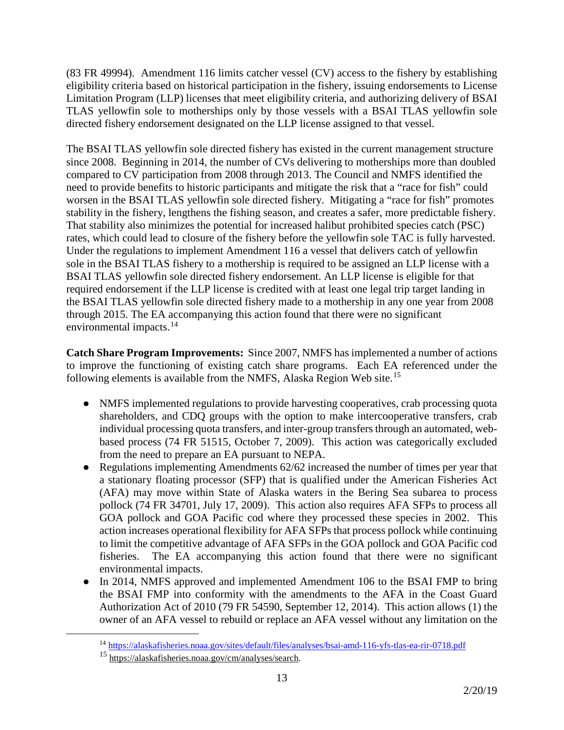Limitation Program (LLP) licenses that meet eligibility criteria, and authorizing delivery of BSAI TLAS yellowfin sole to motherships only by those vessels with a BSAI TLAS yellowfin sole (83 FR 49994). Amendment 116 limits catcher vessel (CV) access to the fishery by establishing eligibility criteria based on historical participation in the fishery, issuing endorsements to License directed fishery endorsement designated on the LLP license assigned to that vessel.

 need to provide benefits to historic participants and mitigate the risk that a "race for fish" could stability in the fishery, lengthens the fishing season, and creates a safer, more predictable fishery. rates, which could lead to closure of the fishery before the yellowfin sole TAC is fully harvested. rates, which could lead to closure of the fishery before the yellowfin sole TAC is fully harvested. Under the regulations to implement Amendment 116 a vessel that delivers catch of yellowfin the BSAI TLAS yellowfin sole directed fishery made to a mothership in any one year from 2008 The BSAI TLAS yellowfin sole directed fishery has existed in the current management structure since 2008. Beginning in 2014, the number of CVs delivering to motherships more than doubled compared to CV participation from 2008 through 2013. The Council and NMFS identified the worsen in the BSAI TLAS yellowfin sole directed fishery. Mitigating a "race for fish" promotes That stability also minimizes the potential for increased halibut prohibited species catch (PSC) sole in the BSAI TLAS fishery to a mothership is required to be assigned an LLP license with a BSAI TLAS yellowfin sole directed fishery endorsement. An LLP license is eligible for that required endorsement if the LLP license is credited with at least one legal trip target landing in through 2015. The EA accompanying this action found that there were no significant environmental impacts.<sup>[14](#page-12-0)</sup>

**Catch Share Program Improvements:** Since 2007, NMFS has implemented a number of actions to improve the functioning of existing catch share programs. Each EA referenced under the following elements is available from the NMFS, Alaska Region Web site.[15](#page-12-1)

- based process (74 FR 51515, October 7, 2009). This action was categorically excluded from the need to prepare an EA pursuant to NEPA. ● NMFS implemented regulations to provide harvesting cooperatives, crab processing quota shareholders, and CDQ groups with the option to make intercooperative transfers, crab individual processing quota transfers, and inter-group transfers through an automated, web-
- Regulations implementing Amendments 62/62 increased the number of times per year that fisheries. The EA accompanying this action found that there were no significant a stationary floating processor (SFP) that is qualified under the American Fisheries Act (AFA) may move within State of Alaska waters in the Bering Sea subarea to process pollock (74 FR 34701, July 17, 2009). This action also requires AFA SFPs to process all GOA pollock and GOA Pacific cod where they processed these species in 2002. This action increases operational flexibility for AFA SFPs that process pollock while continuing to limit the competitive advantage of AFA SFPs in the GOA pollock and GOA Pacific cod environmental impacts.
- the BSAI FMP into conformity with the amendments to the AFA in the Coast Guard In 2014, NMFS approved and implemented Amendment 106 to the BSAI FMP to bring Authorization Act of 2010 (79 FR 54590, September 12, 2014). This action allows (1) the owner of an AFA vessel to rebuild or replace an AFA vessel without any limitation on the

<span id="page-12-0"></span><sup>14</sup><https://alaskafisheries.noaa.gov/sites/default/files/analyses/bsai-amd-116-yfs-tlas-ea-rir-0718.pdf>

<span id="page-12-1"></span><sup>15</sup> https://alaskafisheries.noaa.gov/cm/analyses/search.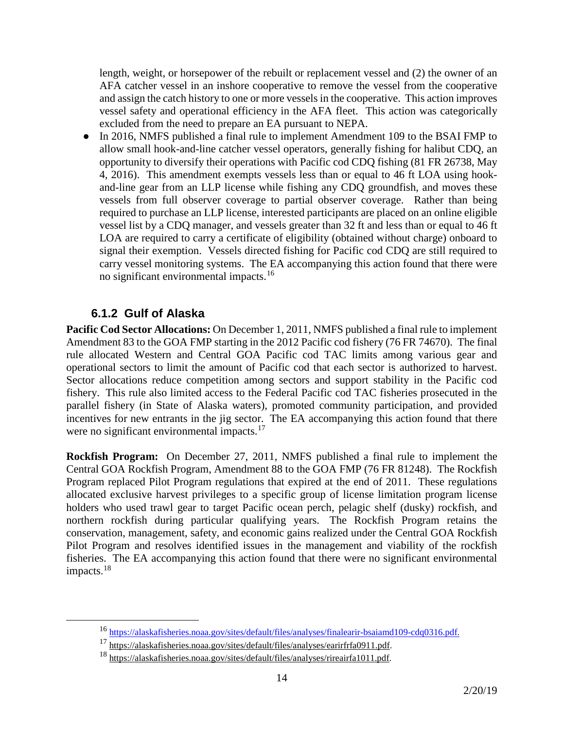vessel safety and operational efficiency in the AFA fleet. This action was categorically length, weight, or horsepower of the rebuilt or replacement vessel and (2) the owner of an AFA catcher vessel in an inshore cooperative to remove the vessel from the cooperative and assign the catch history to one or more vessels in the cooperative. This action improves excluded from the need to prepare an EA pursuant to NEPA.

 ● In 2016, NMFS published a final rule to implement Amendment 109 to the BSAI FMP to allow small hook-and-line catcher vessel operators, generally fishing for halibut CDQ, an vessel list by a CDQ manager, and vessels greater than 32 ft and less than or equal to 46 ft LOA are required to carry a certificate of eligibility (obtained without charge) onboard to signal their exemption. Vessels directed fishing for Pacific cod CDQ are still required to opportunity to diversify their operations with Pacific cod CDQ fishing (81 FR 26738, May 4, 2016). This amendment exempts vessels less than or equal to 46 ft LOA using hookand-line gear from an LLP license while fishing any CDQ groundfish, and moves these vessels from full observer coverage to partial observer coverage. Rather than being required to purchase an LLP license, interested participants are placed on an online eligible carry vessel monitoring systems. The EA accompanying this action found that there were no significant environmental impacts.[16](#page-13-1) 

### **6.1.2 Gulf of Alaska**

<span id="page-13-3"></span><span id="page-13-2"></span><span id="page-13-1"></span> $\overline{a}$ 

<span id="page-13-0"></span> Amendment 83 to the GOA FMP starting in the 2012 Pacific cod fishery (76 FR 74670). The final rule allocated Western and Central GOA Pacific cod TAC limits among various gear and operational sectors to limit the amount of Pacific cod that each sector is authorized to harvest. fishery. This rule also limited access to the Federal Pacific cod TAC fisheries prosecuted in the incentives for new entrants in the jig sector. The EA accompanying this action found that there **Pacific Cod Sector Allocations:** On December 1, 2011, NMFS published a final rule to implement Sector allocations reduce competition among sectors and support stability in the Pacific cod parallel fishery (in State of Alaska waters), promoted community participation, and provided were no significant environmental impacts. $17$ 

 **Rockfish Program:** On December 27, 2011, NMFS published a final rule to implement the Central GOA Rockfish Program, Amendment 88 to the GOA FMP (76 FR 81248). The Rockfish holders who used trawl gear to target Pacific ocean perch, pelagic shelf (dusky) rockfish, and northern rockfish during particular qualifying years. The Rockfish Program retains the fisheries. The EA accompanying this action found that there were no significant environmental Program replaced Pilot Program regulations that expired at the end of 2011. These regulations allocated exclusive harvest privileges to a specific group of license limitation program license conservation, management, safety, and economic gains realized under the Central GOA Rockfish Pilot Program and resolves identified issues in the management and viability of the rockfish impacts. [18](#page-13-3) 

<sup>&</sup>lt;sup>16</sup> https://alaskafisheries.noaa.gov/sites/default/files/analyses/finalearir-bsaiamd109-cdq0316.pdf.<br><sup>17</sup> https://alaskafisheries.noaa.gov/sites/default/files/analyses/earirfrfa0911.pdf.<br><sup>18</sup> https://alaskafisheries.noaa.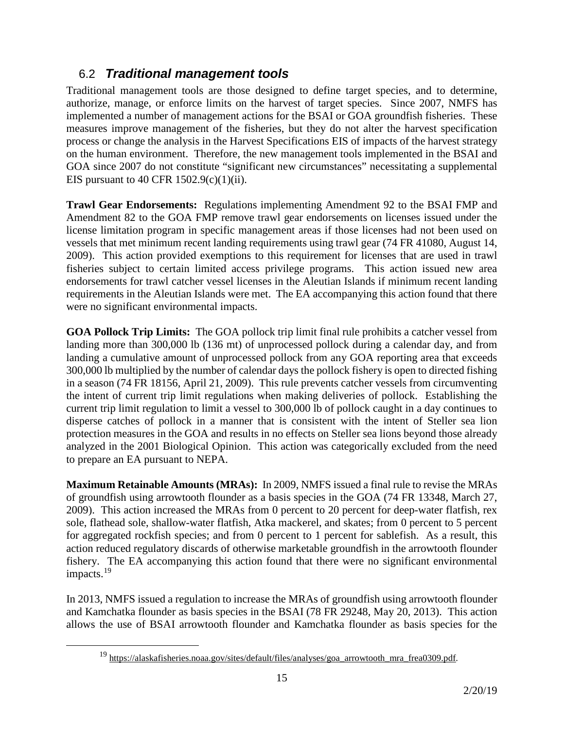## <span id="page-14-0"></span>6.2 *Traditional management tools*

 measures improve management of the fisheries, but they do not alter the harvest specification Traditional management tools are those designed to define target species, and to determine, authorize, manage, or enforce limits on the harvest of target species. Since 2007, NMFS has implemented a number of management actions for the BSAI or GOA groundfish fisheries. These process or change the analysis in the Harvest Specifications EIS of impacts of the harvest strategy on the human environment. Therefore, the new management tools implemented in the BSAI and GOA since 2007 do not constitute "significant new circumstances" necessitating a supplemental EIS pursuant to 40 CFR  $1502.9(c)(1)(ii)$ .

 Amendment 82 to the GOA FMP remove trawl gear endorsements on licenses issued under the vessels that met minimum recent landing requirements using trawl gear (74 FR 41080, August 14, 2009). This action provided exemptions to this requirement for licenses that are used in trawl endorsements for trawl catcher vessel licenses in the Aleutian Islands if minimum recent landing **Trawl Gear Endorsements:** Regulations implementing Amendment 92 to the BSAI FMP and license limitation program in specific management areas if those licenses had not been used on fisheries subject to certain limited access privilege programs. This action issued new area requirements in the Aleutian Islands were met. The EA accompanying this action found that there were no significant environmental impacts.

 **GOA Pollock Trip Limits:** The GOA pollock trip limit final rule prohibits a catcher vessel from landing a cumulative amount of unprocessed pollock from any GOA reporting area that exceeds analyzed in the 2001 Biological Opinion. This action was categorically excluded from the need landing more than 300,000 lb (136 mt) of unprocessed pollock during a calendar day, and from 300,000 lb multiplied by the number of calendar days the pollock fishery is open to directed fishing in a season (74 FR 18156, April 21, 2009). This rule prevents catcher vessels from circumventing the intent of current trip limit regulations when making deliveries of pollock. Establishing the current trip limit regulation to limit a vessel to 300,000 lb of pollock caught in a day continues to disperse catches of pollock in a manner that is consistent with the intent of Steller sea lion protection measures in the GOA and results in no effects on Steller sea lions beyond those already to prepare an EA pursuant to NEPA.

 **Maximum Retainable Amounts (MRAs):** In 2009, NMFS issued a final rule to revise the MRAs of groundfish using arrowtooth flounder as a basis species in the GOA (74 FR 13348, March 27, 2009). This action increased the MRAs from 0 percent to 20 percent for deep-water flatfish, rex sole, flathead sole, shallow-water flatfish, Atka mackerel, and skates; from 0 percent to 5 percent for aggregated rockfish species; and from 0 percent to 1 percent for sablefish. As a result, this action reduced regulatory discards of otherwise marketable groundfish in the arrowtooth flounder fishery. The EA accompanying this action found that there were no significant environmental impacts.<sup>19</sup>

<span id="page-14-1"></span> In 2013, NMFS issued a regulation to increase the MRAs of groundfish using arrowtooth flounder and Kamchatka flounder as basis species in the BSAI (78 FR 29248, May 20, 2013). This action allows the use of BSAI arrowtooth flounder and Kamchatka flounder as basis species for the

<sup>&</sup>lt;sup>19</sup> https://alaskafisheries.noaa.gov/sites/default/files/analyses/goa\_arrowtooth\_mra\_frea0309.pdf.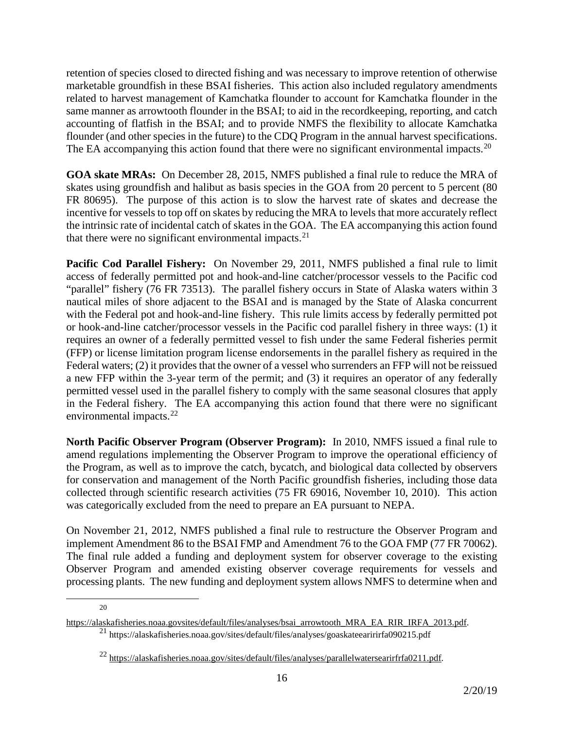marketable groundfish in these BSAI fisheries. This action also included regulatory amendments accounting of flatfish in the BSAI; and to provide NMFS the flexibility to allocate Kamchatka retention of species closed to directed fishing and was necessary to improve retention of otherwise related to harvest management of Kamchatka flounder to account for Kamchatka flounder in the same manner as arrowtooth flounder in the BSAI; to aid in the recordkeeping, reporting, and catch flounder (and other species in the future) to the CDQ Program in the annual harvest specifications. The EA accompanying this action found that there were no significant environmental impacts.<sup>20</sup>

 **GOA skate MRAs:** On December 28, 2015, NMFS published a final rule to reduce the MRA of the intrinsic rate of incidental catch of skates in the GOA. The EA accompanying this action found skates using groundfish and halibut as basis species in the GOA from 20 percent to 5 percent (80 FR 80695). The purpose of this action is to slow the harvest rate of skates and decrease the incentive for vessels to top off on skates by reducing the MRA to levels that more accurately reflect that there were no significant environmental impacts. $2<sup>1</sup>$ 

 **Pacific Cod Parallel Fishery:** On November 29, 2011, NMFS published a final rule to limit "parallel" fishery (76 FR 73513). The parallel fishery occurs in State of Alaska waters within 3 requires an owner of a federally permitted vessel to fish under the same Federal fisheries permit a new FFP within the 3-year term of the permit; and (3) it requires an operator of any federally access of federally permitted pot and hook-and-line catcher/processor vessels to the Pacific cod nautical miles of shore adjacent to the BSAI and is managed by the State of Alaska concurrent with the Federal pot and hook-and-line fishery. This rule limits access by federally permitted pot or hook-and-line catcher/processor vessels in the Pacific cod parallel fishery in three ways: (1) it (FFP) or license limitation program license endorsements in the parallel fishery as required in the Federal waters; (2) it provides that the owner of a vessel who surrenders an FFP will not be reissued permitted vessel used in the parallel fishery to comply with the same seasonal closures that apply in the Federal fishery. The EA accompanying this action found that there were no significant environmental impacts.<sup>[22](#page-15-2)</sup>

 **North Pacific Observer Program (Observer Program):** In 2010, NMFS issued a final rule to the Program, as well as to improve the catch, bycatch, and biological data collected by observers amend regulations implementing the Observer Program to improve the operational efficiency of for conservation and management of the North Pacific groundfish fisheries, including those data collected through scientific research activities (75 FR 69016, November 10, 2010). This action was categorically excluded from the need to prepare an EA pursuant to NEPA.

 The final rule added a funding and deployment system for observer coverage to the existing On November 21, 2012, NMFS published a final rule to restructure the Observer Program and implement Amendment 86 to the BSAI FMP and Amendment 76 to the GOA FMP (77 FR 70062). Observer Program and amended existing observer coverage requirements for vessels and processing plants. The new funding and deployment system allows NMFS to determine when and

20

<u>.</u>

<span id="page-15-2"></span><span id="page-15-1"></span><span id="page-15-0"></span>https://alaskafisheries.noaa.govsites/default/files/analyses/bsai\_arrowtooth\_MRA\_EA\_RIR\_IRFA\_2013.pdf. 21 https://alaskafisheries.noaa.gov/sites/default/files/analyses/goaskateearirirfa090215.pdf

<sup>22</sup> https://alaskafisheries.noaa.gov/sites/default/files/analyses/parallelwatersearirfrfa0211.pdf.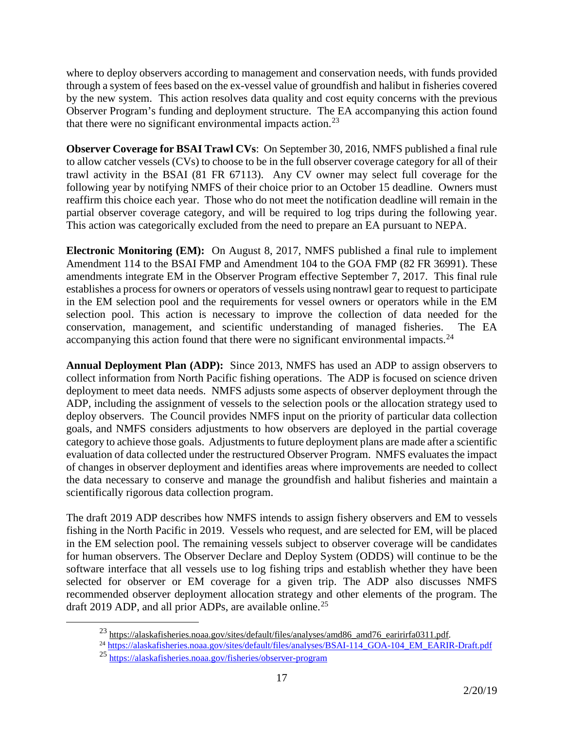Observer Program's funding and deployment structure. The EA accompanying this action found that there were no significant environmental impacts action.<sup>23</sup> where to deploy observers according to management and conservation needs, with funds provided through a system of fees based on the ex-vessel value of groundfish and halibut in fisheries covered by the new system. This action resolves data quality and cost equity concerns with the previous

 to allow catcher vessels (CVs) to choose to be in the full observer coverage category for all of their partial observer coverage category, and will be required to log trips during the following year. **Observer Coverage for BSAI Trawl CVs**: On September 30, 2016, NMFS published a final rule trawl activity in the BSAI (81 FR 67113). Any CV owner may select full coverage for the following year by notifying NMFS of their choice prior to an October 15 deadline. Owners must reaffirm this choice each year. Those who do not meet the notification deadline will remain in the This action was categorically excluded from the need to prepare an EA pursuant to NEPA.

 **Electronic Monitoring (EM):** On August 8, 2017, NMFS published a final rule to implement amendments integrate EM in the Observer Program effective September 7, 2017. This final rule conservation, management, and scientific understanding of managed fisheries. The EA Amendment 114 to the BSAI FMP and Amendment 104 to the GOA FMP (82 FR 36991). These establishes a process for owners or operators of vessels using nontrawl gear to request to participate in the EM selection pool and the requirements for vessel owners or operators while in the EM selection pool. This action is necessary to improve the collection of data needed for the accompanying this action found that there were no significant environmental impacts.<sup>24</sup>

 **Annual Deployment Plan (ADP):** Since 2013, NMFS has used an ADP to assign observers to category to achieve those goals. Adjustments to future deployment plans are made after a scientific of changes in observer deployment and identifies areas where improvements are needed to collect collect information from North Pacific fishing operations. The ADP is focused on science driven deployment to meet data needs. NMFS adjusts some aspects of observer deployment through the ADP, including the assignment of vessels to the selection pools or the allocation strategy used to deploy observers. The Council provides NMFS input on the priority of particular data collection goals, and NMFS considers adjustments to how observers are deployed in the partial coverage evaluation of data collected under the restructured Observer Program. NMFS evaluates the impact the data necessary to conserve and manage the groundfish and halibut fisheries and maintain a scientifically rigorous data collection program.

 recommended observer deployment allocation strategy and other elements of the program. The The draft 2019 ADP describes how NMFS intends to assign fishery observers and EM to vessels fishing in the North Pacific in 2019. Vessels who request, and are selected for EM, will be placed in the EM selection pool. The remaining vessels subject to observer coverage will be candidates for human observers. The Observer Declare and Deploy System (ODDS) will continue to be the software interface that all vessels use to log fishing trips and establish whether they have been selected for observer or EM coverage for a given trip. The ADP also discusses NMFS draft 2019 ADP, and all prior ADPs, are available online.<sup>25</sup>

<span id="page-16-0"></span><sup>&</sup>lt;sup>23</sup> https://alaskafisheries.noaa.gov/sites/default/files/analyses/amd86\_amd76\_earirirfa0311.pdf. 24 https://alaskafisheries.noaa.gov/sites/default/files/analyses/BSAI-114\_GOA-104\_EM\_EARIR-Draft.pdf

<span id="page-16-2"></span><span id="page-16-1"></span><sup>2</sup>[5 https://alaskafisheries.noaa.gov/fisheries/observer-program](https://alaskafisheries.noaa.gov/fisheries/observer-program)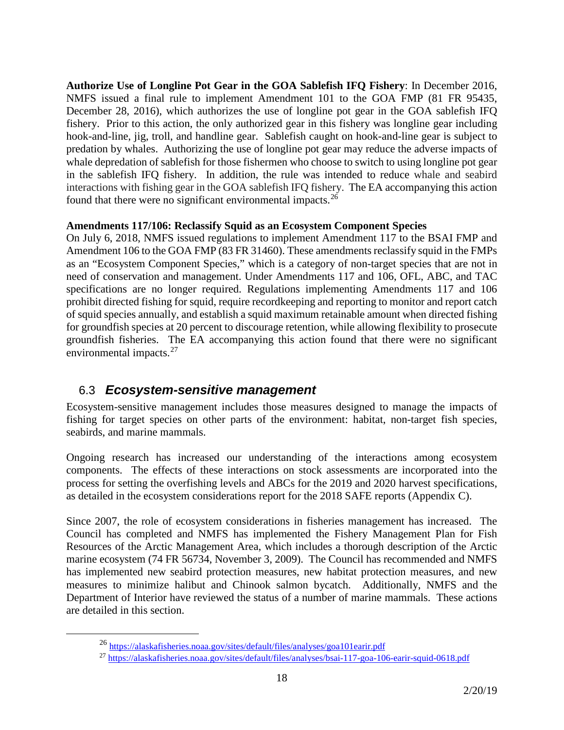NMFS issued a final rule to implement Amendment 101 to the GOA FMP (81 FR 95435, whale depredation of sablefish for those fishermen who choose to switch to using longline pot gear interactions with fishing gear in the GOA sablefish IFQ fishery. The EA accompanying this action **Authorize Use of Longline Pot Gear in the GOA Sablefish IFQ Fishery**: In December 2016, December 28, 2016), which authorizes the use of longline pot gear in the GOA sablefish IFQ fishery. Prior to this action, the only authorized gear in this fishery was longline gear including hook-and-line, jig, troll, and handline gear. Sablefish caught on hook-and-line gear is subject to predation by whales. Authorizing the use of longline pot gear may reduce the adverse impacts of in the sablefish IFQ fishery. In addition, the rule was intended to reduce whale and seabird found that there were no significant environmental impacts.<sup>[26](#page-17-1)</sup>

#### **Amendments 117/106: Reclassify Squid as an Ecosystem Component Species**

 On July 6, 2018, NMFS issued regulations to implement Amendment 117 to the BSAI FMP and Amendment 106 to the GOA FMP (83 FR 31460). These amendments reclassify squid in the FMPs for groundfish species at 20 percent to discourage retention, while allowing flexibility to prosecute as an "Ecosystem Component Species," which is a category of non-target species that are not in need of conservation and management. Under Amendments 117 and 106, OFL, ABC, and TAC specifications are no longer required. Regulations implementing Amendments 117 and 106 prohibit directed fishing for squid, require recordkeeping and reporting to monitor and report catch of squid species annually, and establish a squid maximum retainable amount when directed fishing groundfish fisheries. The EA accompanying this action found that there were no significant environmental impacts.<sup>[27](#page-17-2)</sup>

#### <span id="page-17-0"></span>6.3 *Ecosystem-sensitive management*

Ecosystem-sensitive management includes those measures designed to manage the impacts of fishing for target species on other parts of the environment: habitat, non-target fish species, seabirds, and marine mammals.

 as detailed in the ecosystem considerations report for the 2018 SAFE reports (Appendix C). Ongoing research has increased our understanding of the interactions among ecosystem components. The effects of these interactions on stock assessments are incorporated into the process for setting the overfishing levels and ABCs for the 2019 and 2020 harvest specifications,

 Council has completed and NMFS has implemented the Fishery Management Plan for Fish Since 2007, the role of ecosystem considerations in fisheries management has increased. The Resources of the Arctic Management Area, which includes a thorough description of the Arctic marine ecosystem (74 FR 56734, November 3, 2009). The Council has recommended and NMFS has implemented new seabird protection measures, new habitat protection measures, and new measures to minimize halibut and Chinook salmon bycatch. Additionally, NMFS and the Department of Interior have reviewed the status of a number of marine mammals. These actions are detailed in this section.

<span id="page-17-1"></span><sup>2</sup>[6 https://alaskafisheries.noaa.gov/sites/default/files/analyses/goa101earir.pdf](https://alaskafisheries.noaa.gov/sites/default/files/analyses/goa101earir.pdf) 

<span id="page-17-2"></span><sup>27</sup><https://alaskafisheries.noaa.gov/sites/default/files/analyses/bsai-117-goa-106-earir-squid-0618.pdf>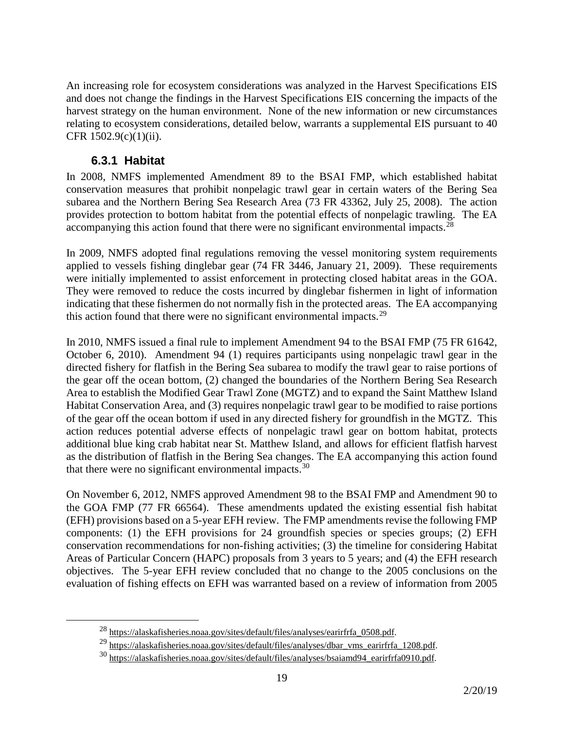An increasing role for ecosystem considerations was analyzed in the Harvest Specifications EIS and does not change the findings in the Harvest Specifications EIS concerning the impacts of the harvest strategy on the human environment. None of the new information or new circumstances relating to ecosystem considerations, detailed below, warrants a supplemental EIS pursuant to 40 CFR 1502.9(c)(1)(ii).

### **6.3.1 Habitat**

<span id="page-18-3"></span><span id="page-18-2"></span><span id="page-18-1"></span> $\overline{a}$ 

<span id="page-18-0"></span> conservation measures that prohibit nonpelagic trawl gear in certain waters of the Bering Sea accompanying this action found that there were no significant environmental impacts.<sup>28</sup> In 2008, NMFS implemented Amendment 89 to the BSAI FMP, which established habitat subarea and the Northern Bering Sea Research Area (73 FR 43362, July 25, 2008). The action provides protection to bottom habitat from the potential effects of nonpelagic trawling. The EA

were initially implemented to assist enforcement in protecting closed habitat areas in the GOA. In 2009, NMFS adopted final regulations removing the vessel monitoring system requirements applied to vessels fishing dinglebar gear (74 FR 3446, January 21, 2009). These requirements They were removed to reduce the costs incurred by dinglebar fishermen in light of information indicating that these fishermen do not normally fish in the protected areas. The EA accompanying this action found that there were no significant environmental impacts.<sup>[29](#page-18-2)</sup>

 In 2010, NMFS issued a final rule to implement Amendment 94 to the BSAI FMP (75 FR 61642, Area to establish the Modified Gear Trawl Zone (MGTZ) and to expand the Saint Matthew Island of the gear off the ocean bottom if used in any directed fishery for groundfish in the MGTZ. This October 6, 2010). Amendment 94 (1) requires participants using nonpelagic trawl gear in the directed fishery for flatfish in the Bering Sea subarea to modify the trawl gear to raise portions of the gear off the ocean bottom, (2) changed the boundaries of the Northern Bering Sea Research Habitat Conservation Area, and (3) requires nonpelagic trawl gear to be modified to raise portions action reduces potential adverse effects of nonpelagic trawl gear on bottom habitat, protects additional blue king crab habitat near St. Matthew Island, and allows for efficient flatfish harvest as the distribution of flatfish in the Bering Sea changes. The EA accompanying this action found that there were no significant environmental impacts. $30$ 

 On November 6, 2012, NMFS approved Amendment 98 to the BSAI FMP and Amendment 90 to (EFH) provisions based on a 5-year EFH review. The FMP amendments revise the following FMP objectives. The 5-year EFH review concluded that no change to the 2005 conclusions on the the GOA FMP (77 FR 66564). These amendments updated the existing essential fish habitat components: (1) the EFH provisions for 24 groundfish species or species groups; (2) EFH conservation recommendations for non-fishing activities; (3) the timeline for considering Habitat Areas of Particular Concern (HAPC) proposals from 3 years to 5 years; and (4) the EFH research evaluation of fishing effects on EFH was warranted based on a review of information from 2005

<sup>&</sup>lt;sup>28</sup> https://alaskafisheries.noaa.gov/sites/default/files/analyses/earirfrfa 0508.pdf.<br><sup>29</sup> https://alaskafisheries.noaa.gov/sites/default/files/analyses/dbar vms earirfrfa 1208.pdf.<br><sup>30</sup> https://alaskafisheries.noaa.gov/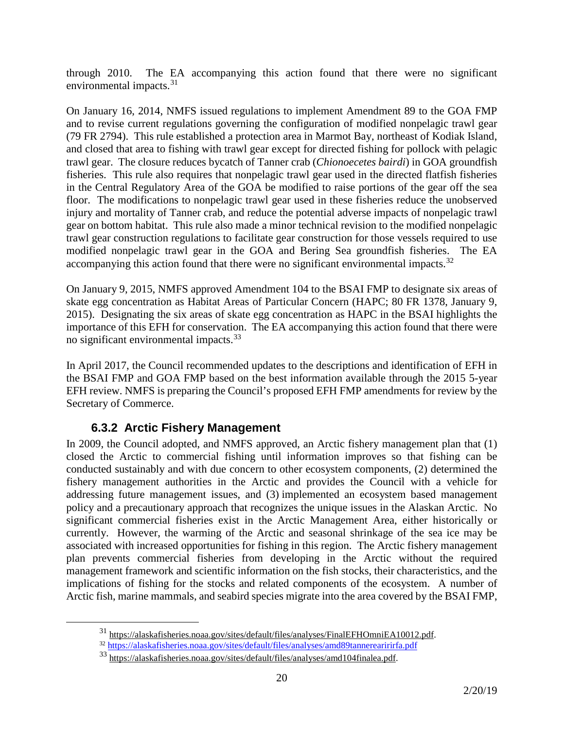environmental impacts.<sup>[31](#page-19-1)</sup> through 2010. The EA accompanying this action found that there were no significant

 modified nonpelagic trawl gear in the GOA and Bering Sea groundfish fisheries. The EA accompanying this action found that there were no significant environmental impacts.<sup>32</sup> On January 16, 2014, NMFS issued regulations to implement Amendment 89 to the GOA FMP and to revise current regulations governing the configuration of modified nonpelagic trawl gear (79 FR 2794). This rule established a protection area in Marmot Bay, northeast of Kodiak Island, and closed that area to fishing with trawl gear except for directed fishing for pollock with pelagic trawl gear. The closure reduces bycatch of Tanner crab (*Chionoecetes bairdi*) in GOA groundfish fisheries. This rule also requires that nonpelagic trawl gear used in the directed flatfish fisheries in the Central Regulatory Area of the GOA be modified to raise portions of the gear off the sea floor. The modifications to nonpelagic trawl gear used in these fisheries reduce the unobserved injury and mortality of Tanner crab, and reduce the potential adverse impacts of nonpelagic trawl gear on bottom habitat. This rule also made a minor technical revision to the modified nonpelagic trawl gear construction regulations to facilitate gear construction for those vessels required to use

 On January 9, 2015, NMFS approved Amendment 104 to the BSAI FMP to designate six areas of skate egg concentration as Habitat Areas of Particular Concern (HAPC; 80 FR 1378, January 9, 2015). Designating the six areas of skate egg concentration as HAPC in the BSAI highlights the importance of this EFH for conservation. The EA accompanying this action found that there were no significant environmental impacts. [33](#page-19-3) 

 the BSAI FMP and GOA FMP based on the best information available through the 2015 5-year Secretary of Commerce. In April 2017, the Council recommended updates to the descriptions and identification of EFH in EFH review. NMFS is preparing the Council's proposed EFH FMP amendments for review by the

#### **6.3.2 Arctic Fishery Management**

<span id="page-19-3"></span><span id="page-19-2"></span><span id="page-19-1"></span> $\overline{a}$ 

<span id="page-19-0"></span> plan prevents commercial fisheries from developing in the Arctic without the required In 2009, the Council adopted, and NMFS approved, an Arctic fishery management plan that (1) closed the Arctic to commercial fishing until information improves so that fishing can be conducted sustainably and with due concern to other ecosystem components, (2) determined the fishery management authorities in the Arctic and provides the Council with a vehicle for addressing future management issues, and (3) implemented an ecosystem based management policy and a precautionary approach that recognizes the unique issues in the Alaskan Arctic. No significant commercial fisheries exist in the Arctic Management Area, either historically or currently. However, the warming of the Arctic and seasonal shrinkage of the sea ice may be associated with increased opportunities for fishing in this region. The Arctic fishery management management framework and scientific information on the fish stocks, their characteristics, and the implications of fishing for the stocks and related components of the ecosystem. A number of Arctic fish, marine mammals, and seabird species migrate into the area covered by the BSAI FMP,

<sup>&</sup>lt;sup>31</sup> https://alaskafisheries.noaa.gov/sites/default/files/analyses/FinalEFHOmniEA10012.pdf. <sup>32</sup> https://alaskafisheries.noaa.gov/sites/default/files/analyses/amd89tannerearirirfa.pdf

<sup>&</sup>lt;sup>33</sup> https://alaskafisheries.noaa.gov/sites/default/files/analyses/amd104finalea.pdf.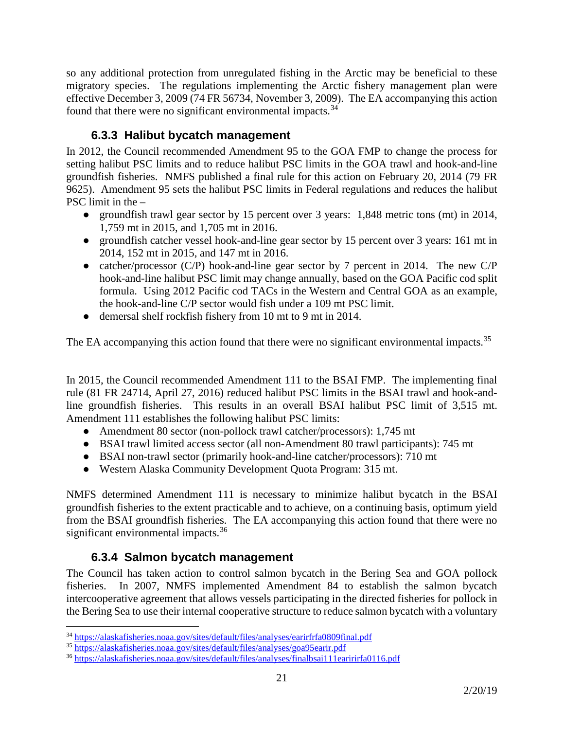effective December 3, 2009 (74 FR 56734, November 3, 2009). The EA accompanying this action found that there were no significant environmental impacts.<sup>[34](#page-20-2)</sup> so any additional protection from unregulated fishing in the Arctic may be beneficial to these migratory species. The regulations implementing the Arctic fishery management plan were

### **6.3.3 Halibut bycatch management**

<span id="page-20-0"></span> PSC limit in the – In 2012, the Council recommended Amendment 95 to the GOA FMP to change the process for setting halibut PSC limits and to reduce halibut PSC limits in the GOA trawl and hook-and-line groundfish fisheries. NMFS published a final rule for this action on February 20, 2014 (79 FR 9625). Amendment 95 sets the halibut PSC limits in Federal regulations and reduces the halibut

- groundfish trawl gear sector by 15 percent over 3 years: 1,848 metric tons (mt) in 2014, 1,759 mt in 2015, and 1,705 mt in 2016.
- groundfish catcher vessel hook-and-line gear sector by 15 percent over 3 years: 161 mt in 2014, 152 mt in 2015, and 147 mt in 2016.
- the hook-and-line C/P sector would fish under a 109 mt PSC limit. • catcher/processor (C/P) hook-and-line gear sector by 7 percent in 2014. The new C/P hook-and-line halibut PSC limit may change annually, based on the GOA Pacific cod split formula. Using 2012 Pacific cod TACs in the Western and Central GOA as an example,
- demersal shelf rockfish fishery from 10 mt to 9 mt in 2014.

The EA accompanying this action found that there were no significant environmental impacts.<sup>35</sup>

 In 2015, the Council recommended Amendment 111 to the BSAI FMP. The implementing final rule (81 FR 24714, April 27, 2016) reduced halibut PSC limits in the BSAI trawl and hook-andline groundfish fisheries. This results in an overall BSAI halibut PSC limit of 3,515 mt. Amendment 111 establishes the following halibut PSC limits:

- Amendment 80 sector (non-pollock trawl catcher/processors): 1,745 mt
- BSAI trawl limited access sector (all non-Amendment 80 trawl participants): 745 mt
- BSAI non-trawl sector (primarily hook-and-line catcher/processors): 710 mt
- Western Alaska Community Development Quota Program: 315 mt.

 groundfish fisheries to the extent practicable and to achieve, on a continuing basis, optimum yield from the BSAI groundfish fisheries. The EA accompanying this action found that there were no NMFS determined Amendment 111 is necessary to minimize halibut bycatch in the BSAI significant environmental impacts.<sup>36</sup>

### **6.3.4 Salmon bycatch management**

<span id="page-20-1"></span> The Council has taken action to control salmon bycatch in the Bering Sea and GOA pollock fisheries. In 2007, NMFS implemented Amendment 84 to establish the salmon bycatch intercooperative agreement that allows vessels participating in the directed fisheries for pollock in the Bering Sea to use their internal cooperative structure to reduce salmon bycatch with a voluntary

<span id="page-20-2"></span><sup>34</sup> https://alaskafisheries.noaa.gov/sites/default/files/analyses/earirfrfa0809final.pdf

<span id="page-20-3"></span><sup>&</sup>lt;sup>35</sup>https://alaskafisheries.noaa.gov/sites/default/files/analyses/goa95earir.pdf<br><sup>36</sup>https://alaskafisheries.noaa.gov/sites/default/files/analyses/finalbsai111earirirfa0116.pdf

<span id="page-20-4"></span>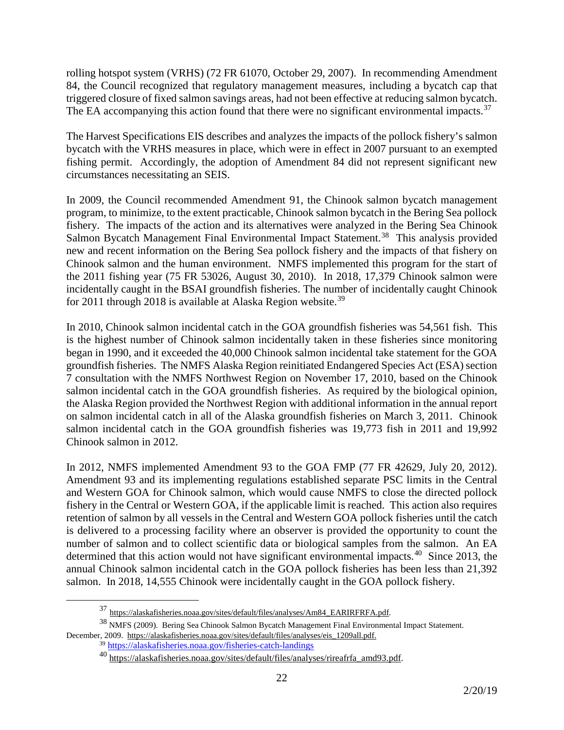rolling hotspot system (VRHS) (72 FR 61070, October 29, 2007). In recommending Amendment triggered closure of fixed salmon savings areas, had not been effective at reducing salmon bycatch. 84, the Council recognized that regulatory management measures, including a bycatch cap that The EA accompanying this action found that there were no significant environmental impacts.  $37$ 

 The Harvest Specifications EIS describes and analyzes the impacts of the pollock fishery's salmon circumstances necessitating an SEIS. bycatch with the VRHS measures in place, which were in effect in 2007 pursuant to an exempted fishing permit. Accordingly, the adoption of Amendment 84 did not represent significant new

 fishery. The impacts of the action and its alternatives were analyzed in the Bering Sea Chinook Salmon Bycatch Management Final Environmental Impact Statement.<sup>[38](#page-21-1)</sup> This analysis provided new and recent information on the Bering Sea pollock fishery and the impacts of that fishery on the 2011 fishing year (75 FR 53026, August 30, 2010). In 2018, 17,379 Chinook salmon were for 2011 through 2018 is available at Alaska Region website.<sup>39</sup> In 2009, the Council recommended Amendment 91, the Chinook salmon bycatch management program, to minimize, to the extent practicable, Chinook salmon bycatch in the Bering Sea pollock Chinook salmon and the human environment. NMFS implemented this program for the start of incidentally caught in the BSAI groundfish fisheries. The number of incidentally caught Chinook

 In 2010, Chinook salmon incidental catch in the GOA groundfish fisheries was 54,561 fish. This is the highest number of Chinook salmon incidentally taken in these fisheries since monitoring began in 1990, and it exceeded the 40,000 Chinook salmon incidental take statement for the GOA groundfish fisheries. The NMFS Alaska Region reinitiated Endangered Species Act (ESA) section 7 consultation with the NMFS Northwest Region on November 17, 2010, based on the Chinook salmon incidental catch in the GOA groundfish fisheries. As required by the biological opinion, the Alaska Region provided the Northwest Region with additional information in the annual report on salmon incidental catch in all of the Alaska groundfish fisheries on March 3, 2011. Chinook salmon incidental catch in the GOA groundfish fisheries was 19,773 fish in 2011 and 19,992 Chinook salmon in 2012.

In 2012, NMFS implemented Amendment 93 to the GOA FMP (77 FR 42629, July 20, 2012). determined that this action would not have significant environmental impacts.<sup>[40](#page-21-3)</sup> Since 2013, the salmon. In 2018, 14,555 Chinook were incidentally caught in the GOA pollock fishery. Amendment 93 and its implementing regulations established separate PSC limits in the Central and Western GOA for Chinook salmon, which would cause NMFS to close the directed pollock fishery in the Central or Western GOA, if the applicable limit is reached. This action also requires retention of salmon by all vessels in the Central and Western GOA pollock fisheries until the catch is delivered to a processing facility where an observer is provided the opportunity to count the number of salmon and to collect scientific data or biological samples from the salmon. An EA annual Chinook salmon incidental catch in the GOA pollock fisheries has been less than 21,392

-

<sup>37</sup> https://alaskafisheries.noaa.gov/sites/default/files/analyses/Am84\_EARIRFRFA.pdf.

<span id="page-21-3"></span><span id="page-21-2"></span><span id="page-21-1"></span><span id="page-21-0"></span><sup>&</sup>lt;sup>38</sup> NMFS (2009). Bering Sea Chinook Salmon Bycatch Management Final Environmental Impact Statement.<br>December, 2009. https://alaskafisheries.noaa.gov/sites/default/files/analyses/eis\_1209all.pdf. December, 2009. https://alaskafisheries.noaa.gov/sites/default/files/analyses/eis 1209all.pdf.

<sup>39</sup><https://alaskafisheries.noaa.gov/fisheries-catch-landings>

<sup>40</sup> https://alaskafisheries.noaa.gov/sites/default/files/analyses/rireafrfa\_amd93.pdf.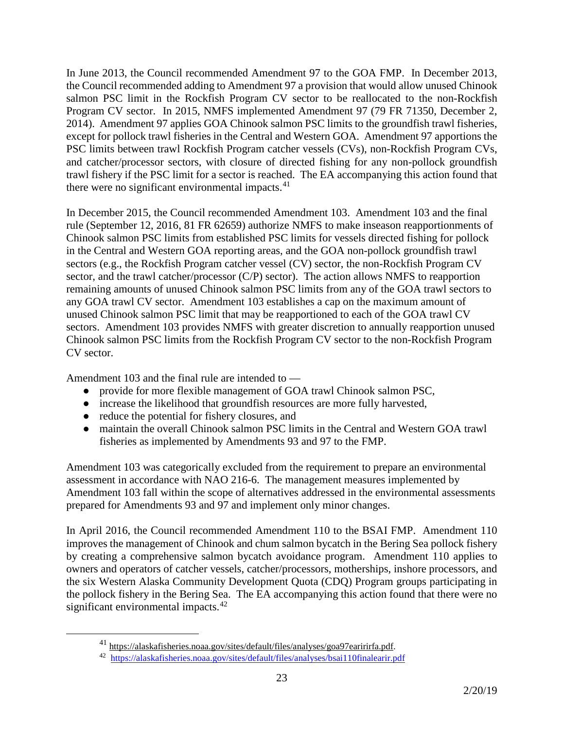salmon PSC limit in the Rockfish Program CV sector to be reallocated to the non-Rockfish In June 2013, the Council recommended Amendment 97 to the GOA FMP. In December 2013, the Council recommended adding to Amendment 97 a provision that would allow unused Chinook Program CV sector. In 2015, NMFS implemented Amendment 97 (79 FR 71350, December 2, 2014). Amendment 97 applies GOA Chinook salmon PSC limits to the groundfish trawl fisheries, except for pollock trawl fisheries in the Central and Western GOA. Amendment 97 apportions the PSC limits between trawl Rockfish Program catcher vessels (CVs), non-Rockfish Program CVs, and catcher/processor sectors, with closure of directed fishing for any non-pollock groundfish trawl fishery if the PSC limit for a sector is reached. The EA accompanying this action found that there were no significant environmental impacts. $41$ 

 Chinook salmon PSC limits from established PSC limits for vessels directed fishing for pollock remaining amounts of unused Chinook salmon PSC limits from any of the GOA trawl sectors to Chinook salmon PSC limits from the Rockfish Program CV sector to the non-Rockfish Program In December 2015, the Council recommended Amendment 103. Amendment 103 and the final rule (September 12, 2016, 81 FR 62659) authorize NMFS to make inseason reapportionments of in the Central and Western GOA reporting areas, and the GOA non-pollock groundfish trawl sectors (e.g., the Rockfish Program catcher vessel (CV) sector, the non-Rockfish Program CV sector, and the trawl catcher/processor (C/P) sector). The action allows NMFS to reapportion any GOA trawl CV sector. Amendment 103 establishes a cap on the maximum amount of unused Chinook salmon PSC limit that may be reapportioned to each of the GOA trawl CV sectors. Amendment 103 provides NMFS with greater discretion to annually reapportion unused CV sector.

Amendment 103 and the final rule are intended to —

- provide for more flexible management of GOA trawl Chinook salmon PSC,
- increase the likelihood that groundfish resources are more fully harvested,
- reduce the potential for fishery closures, and

<span id="page-22-1"></span><span id="page-22-0"></span>-

 ● maintain the overall Chinook salmon PSC limits in the Central and Western GOA trawl fisheries as implemented by Amendments 93 and 97 to the FMP.

prepared for Amendments 93 and 97 and implement only minor changes. Amendment 103 was categorically excluded from the requirement to prepare an environmental assessment in accordance with NAO 216-6. The management measures implemented by Amendment 103 fall within the scope of alternatives addressed in the environmental assessments

significant environmental impacts.<sup>42</sup> In April 2016, the Council recommended Amendment 110 to the BSAI FMP. Amendment 110 improves the management of Chinook and chum salmon bycatch in the Bering Sea pollock fishery by creating a comprehensive salmon bycatch avoidance program. Amendment 110 applies to owners and operators of catcher vessels, catcher/processors, motherships, inshore processors, and the six Western Alaska Community Development Quota (CDQ) Program groups participating in the pollock fishery in the Bering Sea. The EA accompanying this action found that there were no

<sup>&</sup>lt;sup>41</sup> https://alaskafisheries.noaa.gov/sites/default/files/analyses/goa97earirirfa.pdf.<br><sup>42</sup> https://alaskafisheries.noaa.gov/sites/default/files/analyses/bsai110finalearir.pdf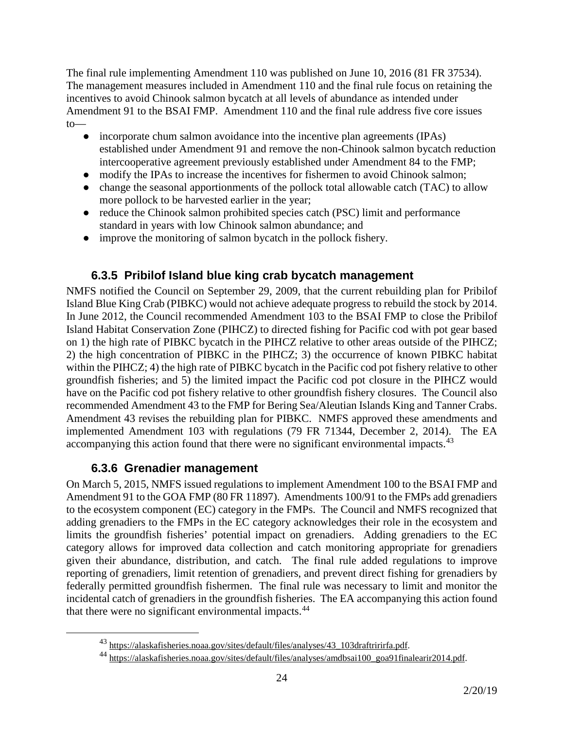The final rule implementing Amendment 110 was published on June 10, 2016 (81 FR 37534). The management measures included in Amendment 110 and the final rule focus on retaining the incentives to avoid Chinook salmon bycatch at all levels of abundance as intended under Amendment 91 to the BSAI FMP. Amendment 110 and the final rule address five core issues to—

- incorporate chum salmon avoidance into the incentive plan agreements (IPAs) established under Amendment 91 and remove the non-Chinook salmon bycatch reduction intercooperative agreement previously established under Amendment 84 to the FMP;
- modify the IPAs to increase the incentives for fishermen to avoid Chinook salmon;
- more pollock to be harvested earlier in the year; • change the seasonal apportionments of the pollock total allowable catch (TAC) to allow
- reduce the Chinook salmon prohibited species catch (PSC) limit and performance standard in years with low Chinook salmon abundance; and
- improve the monitoring of salmon bycatch in the pollock fishery.

### **6.3.5 Pribilof Island blue king crab bycatch management**

<span id="page-23-0"></span> recommended Amendment 43 to the FMP for Bering Sea/Aleutian Islands King and Tanner Crabs. NMFS notified the Council on September 29, 2009, that the current rebuilding plan for Pribilof Island Blue King Crab (PIBKC) would not achieve adequate progress to rebuild the stock by 2014. In June 2012, the Council recommended Amendment 103 to the BSAI FMP to close the Pribilof Island Habitat Conservation Zone (PIHCZ) to directed fishing for Pacific cod with pot gear based on 1) the high rate of PIBKC bycatch in the PIHCZ relative to other areas outside of the PIHCZ; 2) the high concentration of PIBKC in the PIHCZ; 3) the occurrence of known PIBKC habitat within the PIHCZ; 4) the high rate of PIBKC bycatch in the Pacific cod pot fishery relative to other groundfish fisheries; and 5) the limited impact the Pacific cod pot closure in the PIHCZ would have on the Pacific cod pot fishery relative to other groundfish fishery closures. The Council also Amendment 43 revises the rebuilding plan for PIBKC. NMFS approved these amendments and implemented Amendment 103 with regulations (79 FR 71344, December 2, 2014). The EA accompanying this action found that there were no significant environmental impacts.<sup>43</sup>

#### **6.3.6 Grenadier management**

<span id="page-23-3"></span><span id="page-23-2"></span> $\overline{a}$ 

<span id="page-23-1"></span> On March 5, 2015, NMFS issued regulations to implement Amendment 100 to the BSAI FMP and reporting of grenadiers, limit retention of grenadiers, and prevent direct fishing for grenadiers by federally permitted groundfish fishermen. The final rule was necessary to limit and monitor the Amendment 91 to the GOA FMP (80 FR 11897). Amendments 100/91 to the FMPs add grenadiers to the ecosystem component (EC) category in the FMPs. The Council and NMFS recognized that adding grenadiers to the FMPs in the EC category acknowledges their role in the ecosystem and limits the groundfish fisheries' potential impact on grenadiers. Adding grenadiers to the EC category allows for improved data collection and catch monitoring appropriate for grenadiers given their abundance, distribution, and catch. The final rule added regulations to improve incidental catch of grenadiers in the groundfish fisheries. The EA accompanying this action found that there were no significant environmental impacts.<sup>[44](#page-23-3)</sup>

<sup>&</sup>lt;sup>43</sup> https://alaskafisheries.noaa.gov/sites/default/files/analyses/43\_103draftririrfa.pdf.<br><sup>44</sup> https://alaskafisheries.noaa.gov/sites/default/files/analyses/amdbsai100\_goa91finalearir2014.pdf.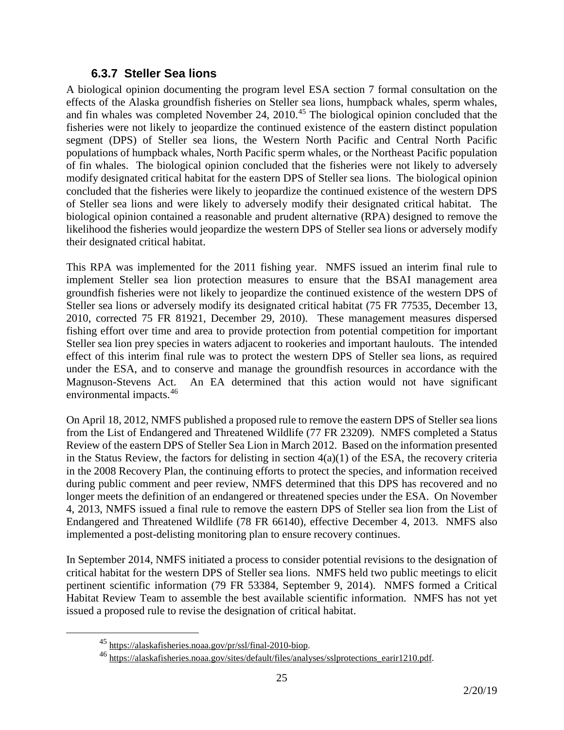#### **6.3.7 Steller Sea lions**

<span id="page-24-0"></span>and fin whales was completed November 24, 2010.<sup>[45](#page-24-1)</sup> The biological opinion concluded that the of Steller sea lions and were likely to adversely modify their designated critical habitat. The likelihood the fisheries would jeopardize the western DPS of Steller sea lions or adversely modify their designated critical habitat. A biological opinion documenting the program level ESA section 7 formal consultation on the effects of the Alaska groundfish fisheries on Steller sea lions, humpback whales, sperm whales, fisheries were not likely to jeopardize the continued existence of the eastern distinct population segment (DPS) of Steller sea lions, the Western North Pacific and Central North Pacific populations of humpback whales, North Pacific sperm whales, or the Northeast Pacific population of fin whales. The biological opinion concluded that the fisheries were not likely to adversely modify designated critical habitat for the eastern DPS of Steller sea lions. The biological opinion concluded that the fisheries were likely to jeopardize the continued existence of the western DPS biological opinion contained a reasonable and prudent alternative (RPA) designed to remove the

their designated critical habitat.<br>This RPA was implemented for the 2011 fishing year. NMFS issued an interim final rule to groundfish fisheries were not likely to jeopardize the continued existence of the western DPS of Steller sea lions or adversely modify its designated critical habitat (75 FR 77535, December 13, effect of this interim final rule was to protect the western DPS of Steller sea lions, as required environmental impacts.<sup>[46](#page-24-2)</sup> implement Steller sea lion protection measures to ensure that the BSAI management area 2010, corrected 75 FR 81921, December 29, 2010). These management measures dispersed fishing effort over time and area to provide protection from potential competition for important Steller sea lion prey species in waters adjacent to rookeries and important haulouts. The intended under the ESA, and to conserve and manage the groundfish resources in accordance with the Magnuson-Stevens Act. An EA determined that this action would not have significant

 in the 2008 Recovery Plan, the continuing efforts to protect the species, and information received implemented a post-delisting monitoring plan to ensure recovery continues. On April 18, 2012, NMFS published a proposed rule to remove the eastern DPS of Steller sea lions from the List of Endangered and Threatened Wildlife (77 FR 23209). NMFS completed a Status Review of the eastern DPS of Steller Sea Lion in March 2012. Based on the information presented in the Status Review, the factors for delisting in section  $4(a)(1)$  of the ESA, the recovery criteria during public comment and peer review, NMFS determined that this DPS has recovered and no longer meets the definition of an endangered or threatened species under the ESA. On November 4, 2013, NMFS issued a final rule to remove the eastern DPS of Steller sea lion from the List of Endangered and Threatened Wildlife (78 FR 66140), effective December 4, 2013. NMFS also

In September 2014, NMFS initiated a process to consider potential revisions to the designation of critical habitat for the western DPS of Steller sea lions. NMFS held two public meetings to elicit pertinent scientific information (79 FR 53384, September 9, 2014). NMFS formed a Critical Habitat Review Team to assemble the best available scientific information. NMFS has not yet issued a proposed rule to revise the designation of critical habitat.

<span id="page-24-2"></span><span id="page-24-1"></span>-

<sup>&</sup>lt;sup>45</sup> https://alaskafisheries.noaa.gov/pr/ssl/final-2010-biop.<br><sup>46</sup> https://alaskafisheries.noaa.gov/sites/default/files/analyses/sslprotections\_earir1210.pdf.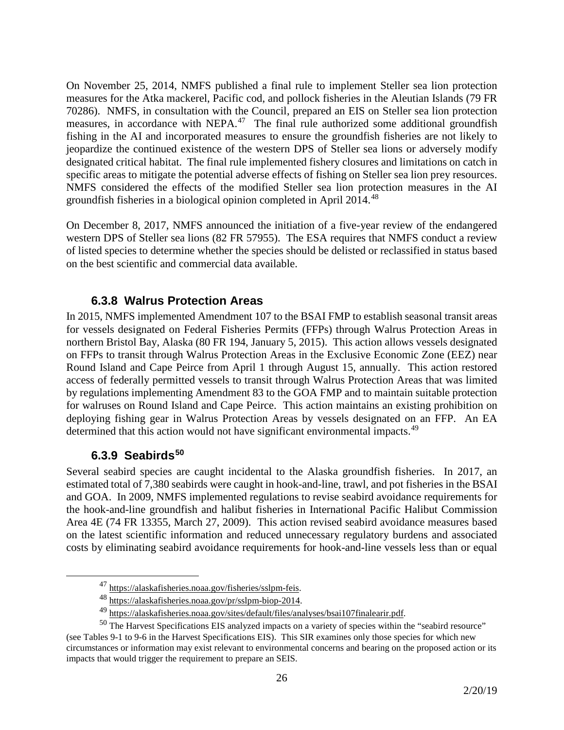measures, in accordance with NEPA.<sup>47</sup> The final rule authorized some additional groundfish specific areas to mitigate the potential adverse effects of fishing on Steller sea lion prey resources. On November 25, 2014, NMFS published a final rule to implement Steller sea lion protection measures for the Atka mackerel, Pacific cod, and pollock fisheries in the Aleutian Islands (79 FR 70286). NMFS, in consultation with the Council, prepared an EIS on Steller sea lion protection fishing in the AI and incorporated measures to ensure the groundfish fisheries are not likely to jeopardize the continued existence of the western DPS of Steller sea lions or adversely modify designated critical habitat. The final rule implemented fishery closures and limitations on catch in NMFS considered the effects of the modified Steller sea lion protection measures in the AI groundfish fisheries in a biological opinion completed in April 2014.[48](#page-25-3)

 western DPS of Steller sea lions (82 FR 57955). The ESA requires that NMFS conduct a review on the best scientific and commercial data available. On December 8, 2017, NMFS announced the initiation of a five-year review of the endangered of listed species to determine whether the species should be delisted or reclassified in status based

#### **6.3.8 Walrus Protection Areas**

<span id="page-25-0"></span>In 2015, NMFS implemented Amendment 107 to the BSAI FMP to establish seasonal transit areas for vessels designated on Federal Fisheries Permits (FFPs) through Walrus Protection Areas in northern Bristol Bay, Alaska (80 FR 194, January 5, 2015). This action allows vessels designated on FFPs to transit through Walrus Protection Areas in the Exclusive Economic Zone (EEZ) near Round Island and Cape Peirce from April 1 through August 15, annually. This action restored access of federally permitted vessels to transit through Walrus Protection Areas that was limited by regulations implementing Amendment 83 to the GOA FMP and to maintain suitable protection for walruses on Round Island and Cape Peirce. This action maintains an existing prohibition on deploying fishing gear in Walrus Protection Areas by vessels designated on an FFP. An EA determined that this action would not have significant environmental impacts.<sup>49</sup>

#### **6.3.9 Seabirds[50](#page-25-5)**

<span id="page-25-3"></span><span id="page-25-2"></span><u>.</u>

<span id="page-25-1"></span> Several seabird species are caught incidental to the Alaska groundfish fisheries. In 2017, an estimated total of 7,380 seabirds were caught in hook-and-line, trawl, and pot fisheries in the BSAI and GOA. In 2009, NMFS implemented regulations to revise seabird avoidance requirements for the hook-and-line groundfish and halibut fisheries in International Pacific Halibut Commission Area 4E (74 FR 13355, March 27, 2009). This action revised seabird avoidance measures based on the latest scientific information and reduced unnecessary regulatory burdens and associated costs by eliminating seabird avoidance requirements for hook-and-line vessels less than or equal

<sup>&</sup>lt;sup>47</sup> https://alaskafisheries.noaa.gov/fisheries/sslpm-feis.<br><sup>48</sup> https://alaskafisheries.noaa.gov/pr/sslpm-biop-2014.<br><sup>49</sup> https://alaskafisheries.noaa.gov/sites/default/files/analyses/bsai107finalearir.pdf.<br><sup>50</sup> The Harv

<span id="page-25-5"></span><span id="page-25-4"></span> (see Tables 9-1 to 9-6 in the Harvest Specifications EIS). This SIR examines only those species for which new circumstances or information may exist relevant to environmental concerns and bearing on the proposed action or its impacts that would trigger the requirement to prepare an SEIS.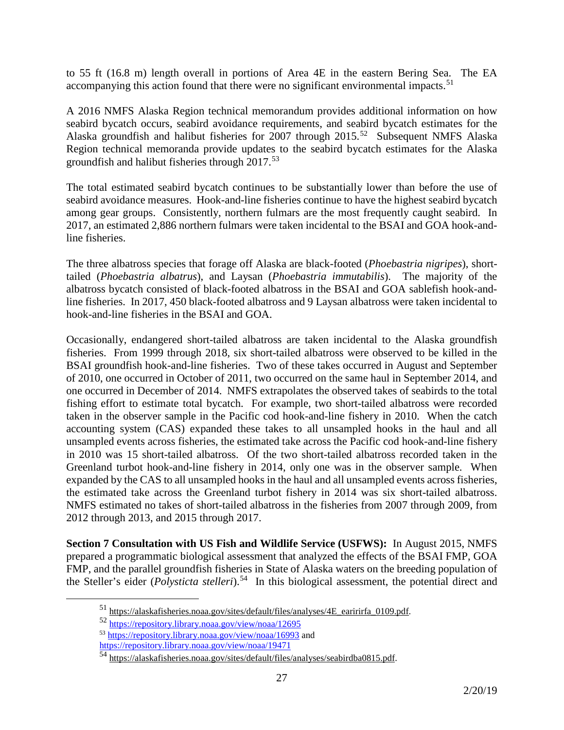to 55 ft (16.8 m) length overall in portions of Area 4E in the eastern Bering Sea. The EA accompanying this action found that there were no significant environmental impacts.<sup>51</sup>

Alaska groundfish and halibut fisheries for 2007 through  $2015$ .<sup>[52](#page-26-1)</sup> Subsequent NMFS Alaska groundfish and halibut fisheries through 2017.<sup>[53](#page-26-2)</sup> A 2016 NMFS Alaska Region technical memorandum provides additional information on how seabird bycatch occurs, seabird avoidance requirements, and seabird bycatch estimates for the Region technical memoranda provide updates to the seabird bycatch estimates for the Alaska

 among gear groups. Consistently, northern fulmars are the most frequently caught seabird. In The total estimated seabird bycatch continues to be substantially lower than before the use of seabird avoidance measures. Hook-and-line fisheries continue to have the highest seabird bycatch 2017, an estimated 2,886 northern fulmars were taken incidental to the BSAI and GOA hook-andline fisheries.

 line fisheries. In 2017, 450 black-footed albatross and 9 Laysan albatross were taken incidental to The three albatross species that forage off Alaska are black-footed (*Phoebastria nigripes*), shorttailed (*Phoebastria albatrus*), and Laysan (*Phoebastria immutabilis*). The majority of the albatross bycatch consisted of black-footed albatross in the BSAI and GOA sablefish hook-andhook-and-line fisheries in the BSAI and GOA.

 accounting system (CAS) expanded these takes to all unsampled hooks in the haul and all the estimated take across the Greenland turbot fishery in 2014 was six short-tailed albatross. Occasionally, endangered short-tailed albatross are taken incidental to the Alaska groundfish fisheries. From 1999 through 2018, six short-tailed albatross were observed to be killed in the BSAI groundfish hook-and-line fisheries. Two of these takes occurred in August and September of 2010, one occurred in October of 2011, two occurred on the same haul in September 2014, and one occurred in December of 2014. NMFS extrapolates the observed takes of seabirds to the total fishing effort to estimate total bycatch. For example, two short-tailed albatross were recorded taken in the observer sample in the Pacific cod hook-and-line fishery in 2010. When the catch unsampled events across fisheries, the estimated take across the Pacific cod hook-and-line fishery in 2010 was 15 short-tailed albatross. Of the two short-tailed albatross recorded taken in the Greenland turbot hook-and-line fishery in 2014, only one was in the observer sample. When expanded by the CAS to all unsampled hooks in the haul and all unsampled events across fisheries, NMFS estimated no takes of short-tailed albatross in the fisheries from 2007 through 2009, from 2012 through 2013, and 2015 through 2017.

 **Section 7 Consultation with US Fish and Wildlife Service (USFWS):** In August 2015, NMFS the Steller's eider (*Polysticta stelleri*).<sup>54</sup> In this biological assessment, the potential direct and prepared a programmatic biological assessment that analyzed the effects of the BSAI FMP, GOA FMP, and the parallel groundfish fisheries in State of Alaska waters on the breeding population of

<span id="page-26-3"></span><span id="page-26-2"></span><span id="page-26-1"></span><span id="page-26-0"></span><u>.</u>

<sup>&</sup>lt;sup>51</sup> https://alaskafisheries.noaa.gov/sites/default/files/analyses/4E\_earirirfa\_0109.pdf.<br><sup>52</sup> https://repository.library.noaa.gov/view/noaa/12695<br><sup>53</sup><https://repository.library.noaa.gov/view/noaa/16993>and

<https://repository.library.noaa.gov/view/noaa/19471>

<sup>54</sup> https://alaskafisheries.noaa.gov/sites/default/files/analyses/seabirdba0815.pdf.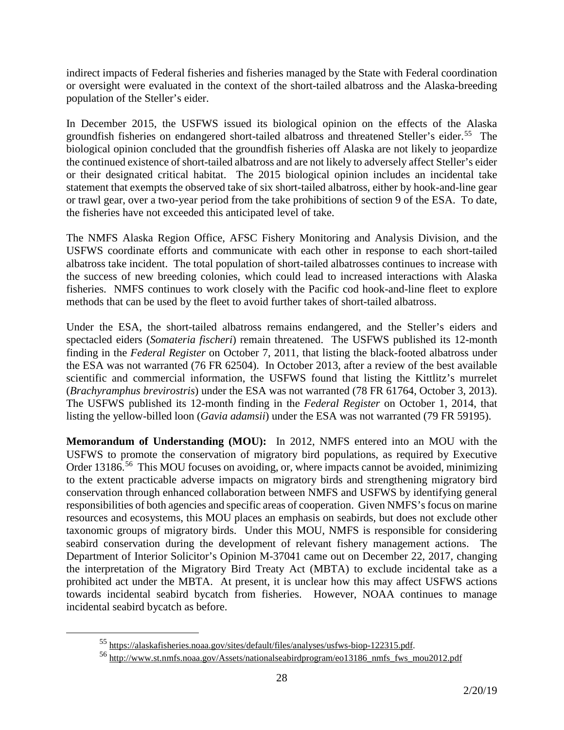indirect impacts of Federal fisheries and fisheries managed by the State with Federal coordination or oversight were evaluated in the context of the short-tailed albatross and the Alaska-breeding population of the Steller's eider.

groundfish fisheries on endangered short-tailed albatross and threatened Steller's eider.<sup>55</sup> The In December 2015, the USFWS issued its biological opinion on the effects of the Alaska biological opinion concluded that the groundfish fisheries off Alaska are not likely to jeopardize the continued existence of short-tailed albatross and are not likely to adversely affect Steller's eider or their designated critical habitat. The 2015 biological opinion includes an incidental take statement that exempts the observed take of six short-tailed albatross, either by hook-and-line gear or trawl gear, over a two-year period from the take prohibitions of section 9 of the ESA. To date, the fisheries have not exceeded this anticipated level of take.

 The NMFS Alaska Region Office, AFSC Fishery Monitoring and Analysis Division, and the USFWS coordinate efforts and communicate with each other in response to each short-tailed albatross take incident. The total population of short-tailed albatrosses continues to increase with the success of new breeding colonies, which could lead to increased interactions with Alaska fisheries. NMFS continues to work closely with the Pacific cod hook-and-line fleet to explore methods that can be used by the fleet to avoid further takes of short-tailed albatross.

 scientific and commercial information, the USFWS found that listing the Kittlitz's murrelet The USFWS published its 12-month finding in the *Federal Register* on October 1, 2014, that listing the yellow-billed loon (*Gavia adamsii*) under the ESA was not warranted (79 FR 59195). Under the ESA, the short-tailed albatross remains endangered, and the Steller's eiders and spectacled eiders (*Somateria fischeri*) remain threatened. The USFWS published its 12-month finding in the *Federal Register* on October 7, 2011, that listing the black-footed albatross under the ESA was not warranted (76 FR 62504). In October 2013, after a review of the best available (*Brachyramphus brevirostris*) under the ESA was not warranted (78 FR 61764, October 3, 2013).

 **Memorandum of Understanding (MOU):** In 2012, NMFS entered into an MOU with the Order 13186.<sup>[56](#page-27-1)</sup> This MOU focuses on avoiding, or, where impacts cannot be avoided, minimizing the interpretation of the Migratory Bird Treaty Act (MBTA) to exclude incidental take as a towards incidental seabird bycatch from fisheries. However, NOAA continues to manage USFWS to promote the conservation of migratory bird populations, as required by Executive to the extent practicable adverse impacts on migratory birds and strengthening migratory bird conservation through enhanced collaboration between NMFS and USFWS by identifying general responsibilities of both agencies and specific areas of cooperation. Given NMFS's focus on marine resources and ecosystems, this MOU places an emphasis on seabirds, but does not exclude other taxonomic groups of migratory birds. Under this MOU, NMFS is responsible for considering seabird conservation during the development of relevant fishery management actions. The Department of Interior Solicitor's Opinion M-37041 came out on December 22, 2017, changing prohibited act under the MBTA. At present, it is unclear how this may affect USFWS actions incidental seabird bycatch as before.

<span id="page-27-1"></span><span id="page-27-0"></span>-

<sup>55</sup> https://alaskafisheries.noaa.gov/sites/default/files/analyses/usfws-biop-122315.pdf.<br>56 http://www.st.nmfs.noaa.gov/Assets/nationalseabirdprogram/eo13186\_nmfs\_fws\_mou2012.pdf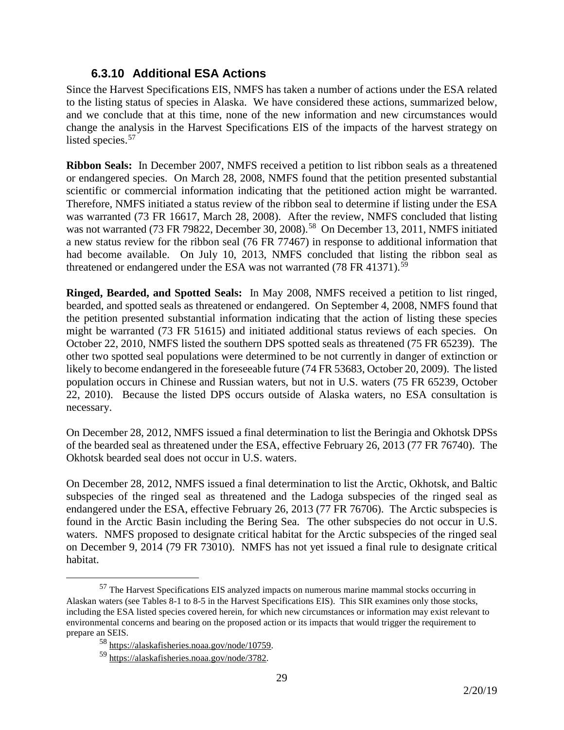### **6.3.10 Additional ESA Actions**

<span id="page-28-0"></span>Since the Harvest Specifications EIS, NMFS has taken a number of actions under the ESA related to the listing status of species in Alaska. We have considered these actions, summarized below, and we conclude that at this time, none of the new information and new circumstances would change the analysis in the Harvest Specifications EIS of the impacts of the harvest strategy on listed species.<sup>[57](#page-28-1)</sup>

 **Ribbon Seals:** In December 2007, NMFS received a petition to list ribbon seals as a threatened scientific or commercial information indicating that the petitioned action might be warranted. was not warranted (73 FR 79822, December 30, 2008).<sup>[58](#page-28-2)</sup> On December 13, 2011, NMFS initiated or endangered species. On March 28, 2008, NMFS found that the petition presented substantial Therefore, NMFS initiated a status review of the ribbon seal to determine if listing under the ESA was warranted (73 FR 16617, March 28, 2008). After the review, NMFS concluded that listing a new status review for the ribbon seal (76 FR 77467) in response to additional information that had become available. On July 10, 2013, NMFS concluded that listing the ribbon seal as threatened or endangered under the ESA was not warranted  $(78 \text{ FR } 41371)$ .<sup>[59](#page-28-3)</sup>

 **Ringed, Bearded, and Spotted Seals:** In May 2008, NMFS received a petition to list ringed, bearded, and spotted seals as threatened or endangered. On September 4, 2008, NMFS found that the petition presented substantial information indicating that the action of listing these species might be warranted (73 FR 51615) and initiated additional status reviews of each species. On October 22, 2010, NMFS listed the southern DPS spotted seals as threatened (75 FR 65239). The other two spotted seal populations were determined to be not currently in danger of extinction or likely to become endangered in the foreseeable future (74 FR 53683, October 20, 2009). The listed population occurs in Chinese and Russian waters, but not in U.S. waters (75 FR 65239, October 22, 2010). Because the listed DPS occurs outside of Alaska waters, no ESA consultation is necessary.

On December 28, 2012, NMFS issued a final determination to list the Beringia and Okhotsk DPSs of the bearded seal as threatened under the ESA, effective February 26, 2013 (77 FR 76740). The Okhotsk bearded seal does not occur in U.S. waters.

 waters. NMFS proposed to designate critical habitat for the Arctic subspecies of the ringed seal on December 9, 2014 (79 FR 73010). NMFS has not yet issued a final rule to designate critical On December 28, 2012, NMFS issued a final determination to list the Arctic, Okhotsk, and Baltic subspecies of the ringed seal as threatened and the Ladoga subspecies of the ringed seal as endangered under the ESA, effective February 26, 2013 (77 FR 76706). The Arctic subspecies is found in the Arctic Basin including the Bering Sea. The other subspecies do not occur in U.S. habitat.

<u>.</u>

<span id="page-28-3"></span><span id="page-28-2"></span><span id="page-28-1"></span> including the ESA listed species covered herein, for which new circumstances or information may exist relevant to <sup>57</sup> The Harvest Specifications EIS analyzed impacts on numerous marine mammal stocks occurring in Alaskan waters (see Tables 8-1 to 8-5 in the Harvest Specifications EIS). This SIR examines only those stocks, environmental concerns and bearing on the proposed action or its impacts that would trigger the requirement to prepare an SEIS.

<sup>&</sup>lt;sup>58</sup> https://alaskafisheries.noaa.gov/node/10759.<br><sup>59</sup> https://alaskafisheries.noaa.gov/node/3782.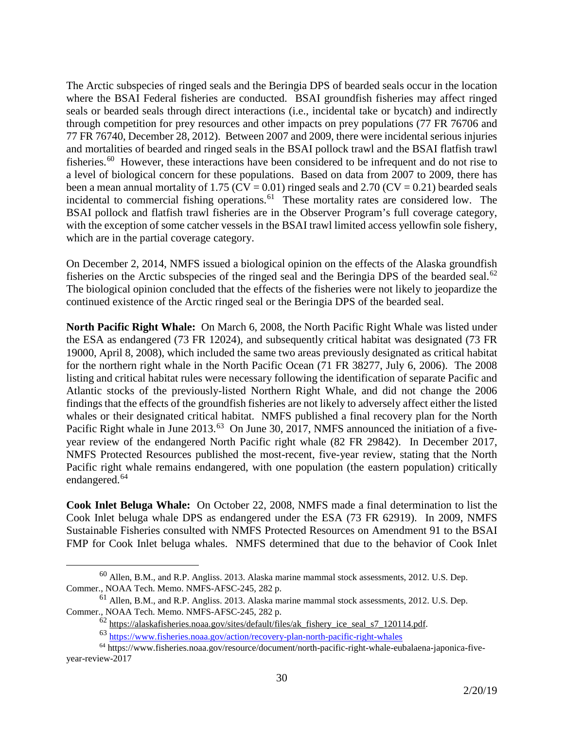The Arctic subspecies of ringed seals and the Beringia DPS of bearded seals occur in the location through competition for prey resources and other impacts on prey populations (77 FR 76706 and fisheries.<sup>[60](#page-29-0)</sup> However, these interactions have been considered to be infrequent and do not rise to been a mean annual mortality of 1.75 ( $CV = 0.01$ ) ringed seals and 2.70 ( $CV = 0.21$ ) bearded seals incidental to commercial fishing operations.<sup>[61](#page-29-1)</sup> These mortality rates are considered low. The where the BSAI Federal fisheries are conducted. BSAI groundfish fisheries may affect ringed seals or bearded seals through direct interactions (i.e., incidental take or bycatch) and indirectly 77 FR 76740, December 28, 2012). Between 2007 and 2009, there were incidental serious injuries and mortalities of bearded and ringed seals in the BSAI pollock trawl and the BSAI flatfish trawl a level of biological concern for these populations. Based on data from 2007 to 2009, there has BSAI pollock and flatfish trawl fisheries are in the Observer Program's full coverage category, with the exception of some catcher vessels in the BSAI trawl limited access yellowfin sole fishery, which are in the partial coverage category.

 On December 2, 2014, NMFS issued a biological opinion on the effects of the Alaska groundfish fisheries on the Arctic subspecies of the ringed seal and the Beringia DPS of the bearded seal.<sup>[62](#page-29-2)</sup> The biological opinion concluded that the effects of the fisheries were not likely to jeopardize the continued existence of the Arctic ringed seal or the Beringia DPS of the bearded seal.

 **North Pacific Right Whale:** On March 6, 2008, the North Pacific Right Whale was listed under Pacific Right whale in June  $2013$ .<sup>[63](#page-29-3)</sup> On June 30, 2017, NMFS announced the initiation of a fiveendangered.<sup>64</sup> the ESA as endangered (73 FR 12024), and subsequently critical habitat was designated (73 FR 19000, April 8, 2008), which included the same two areas previously designated as critical habitat for the northern right whale in the North Pacific Ocean (71 FR 38277, July 6, 2006). The 2008 listing and critical habitat rules were necessary following the identification of separate Pacific and Atlantic stocks of the previously-listed Northern Right Whale, and did not change the 2006 findings that the effects of the groundfish fisheries are not likely to adversely affect either the listed whales or their designated critical habitat. NMFS published a final recovery plan for the North year review of the endangered North Pacific right whale (82 FR 29842). In December 2017, NMFS Protected Resources published the most-recent, five-year review, stating that the North Pacific right whale remains endangered, with one population (the eastern population) critically

 **Cook Inlet Beluga Whale:** On October 22, 2008, NMFS made a final determination to list the Cook Inlet beluga whale DPS as endangered under the ESA (73 FR 62919). In 2009, NMFS Sustainable Fisheries consulted with NMFS Protected Resources on Amendment 91 to the BSAI FMP for Cook Inlet beluga whales. NMFS determined that due to the behavior of Cook Inlet

-

<span id="page-29-0"></span> $^{60}$  Allen, B.M., and R.P. Angliss. 2013. Alaska marine mammal stock assessments, 2012. U.S. Dep. Commer., NOAA Tech. Memo. NMFS-AFSC-245, 282 p.

<span id="page-29-2"></span><span id="page-29-1"></span> $61$  Allen, B.M., and R.P. Angliss. 2013. Alaska marine mammal stock assessments, 2012. U.S. Dep. Commer., NOAA Tech. Memo. NMFS-AFSC-245, 282 p.

 $\frac{62 \text{ https://alaskafisheries.noaa.gov/sites/default/files/ak\_fishery\_ice\_seal\_s7\_120114.pdf}}{\text{https://www.fisheries.noaa.gov/action/recovery-plan-north-pacific-right-whales}}$   $\frac{63 \text{ https://www.fisheries.noaa.gov/action/recovery-plan-north-pacific-right-whales}}{\text{https://www.fisheries.noaa.gov/resource/document/north-pacific-right-whales}}$ 

<span id="page-29-4"></span><span id="page-29-3"></span>year-review-2017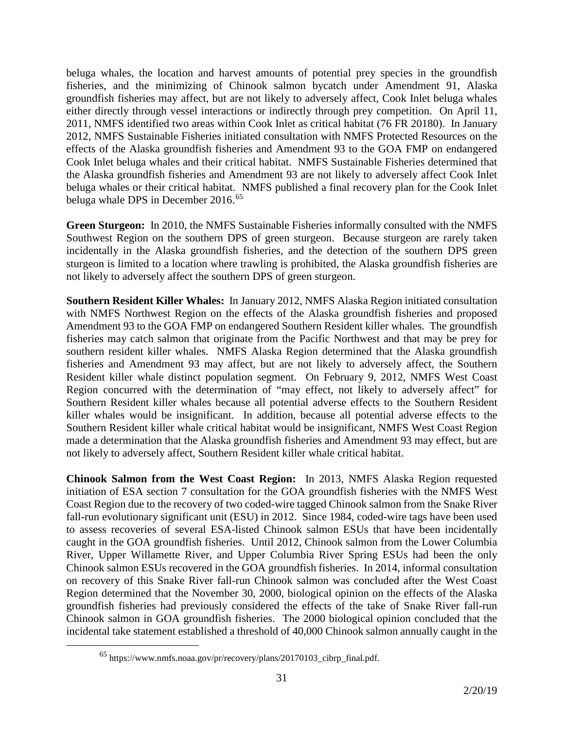beluga whales, the location and harvest amounts of potential prey species in the groundfish fisheries, and the minimizing of Chinook salmon bycatch under Amendment 91, Alaska groundfish fisheries may affect, but are not likely to adversely affect, Cook Inlet beluga whales either directly through vessel interactions or indirectly through prey competition. On April 11, 2011, NMFS identified two areas within Cook Inlet as critical habitat (76 FR 20180). In January 2012, NMFS Sustainable Fisheries initiated consultation with NMFS Protected Resources on the effects of the Alaska groundfish fisheries and Amendment 93 to the GOA FMP on endangered Cook Inlet beluga whales and their critical habitat. NMFS Sustainable Fisheries determined that the Alaska groundfish fisheries and Amendment 93 are not likely to adversely affect Cook Inlet beluga whales or their critical habitat. NMFS published a final recovery plan for the Cook Inlet beluga whale DPS in December 2016.<sup>[65](#page-30-0)</sup>

 **Green Sturgeon:** In 2010, the NMFS Sustainable Fisheries informally consulted with the NMFS incidentally in the Alaska groundfish fisheries, and the detection of the southern DPS green Southwest Region on the southern DPS of green sturgeon. Because sturgeon are rarely taken sturgeon is limited to a location where trawling is prohibited, the Alaska groundfish fisheries are not likely to adversely affect the southern DPS of green sturgeon.

 **Southern Resident Killer Whales:** In January 2012, NMFS Alaska Region initiated consultation Amendment 93 to the GOA FMP on endangered Southern Resident killer whales. The groundfish fisheries may catch salmon that originate from the Pacific Northwest and that may be prey for Region concurred with the determination of "may effect, not likely to adversely affect" for with NMFS Northwest Region on the effects of the Alaska groundfish fisheries and proposed southern resident killer whales. NMFS Alaska Region determined that the Alaska groundfish fisheries and Amendment 93 may affect, but are not likely to adversely affect, the Southern Resident killer whale distinct population segment. On February 9, 2012, NMFS West Coast Southern Resident killer whales because all potential adverse effects to the Southern Resident killer whales would be insignificant. In addition, because all potential adverse effects to the Southern Resident killer whale critical habitat would be insignificant, NMFS West Coast Region made a determination that the Alaska groundfish fisheries and Amendment 93 may effect, but are not likely to adversely affect, Southern Resident killer whale critical habitat.

 **Chinook Salmon from the West Coast Region:** In 2013, NMFS Alaska Region requested initiation of ESA section 7 consultation for the GOA groundfish fisheries with the NMFS West Coast Region due to the recovery of two coded-wire tagged Chinook salmon from the Snake River fall-run evolutionary significant unit (ESU) in 2012. Since 1984, coded-wire tags have been used to assess recoveries of several ESA-listed Chinook salmon ESUs that have been incidentally caught in the GOA groundfish fisheries. Until 2012, Chinook salmon from the Lower Columbia River, Upper Willamette River, and Upper Columbia River Spring ESUs had been the only Chinook salmon ESUs recovered in the GOA groundfish fisheries. In 2014, informal consultation on recovery of this Snake River fall-run Chinook salmon was concluded after the West Coast Region determined that the November 30, 2000, biological opinion on the effects of the Alaska groundfish fisheries had previously considered the effects of the take of Snake River fall-run Chinook salmon in GOA groundfish fisheries. The 2000 biological opinion concluded that the incidental take statement established a threshold of 40,000 Chinook salmon annually caught in the

<span id="page-30-0"></span><sup>65</sup> https://www.nmfs.noaa.gov/pr/recovery/plans/20170103\_cibrp\_final.pdf.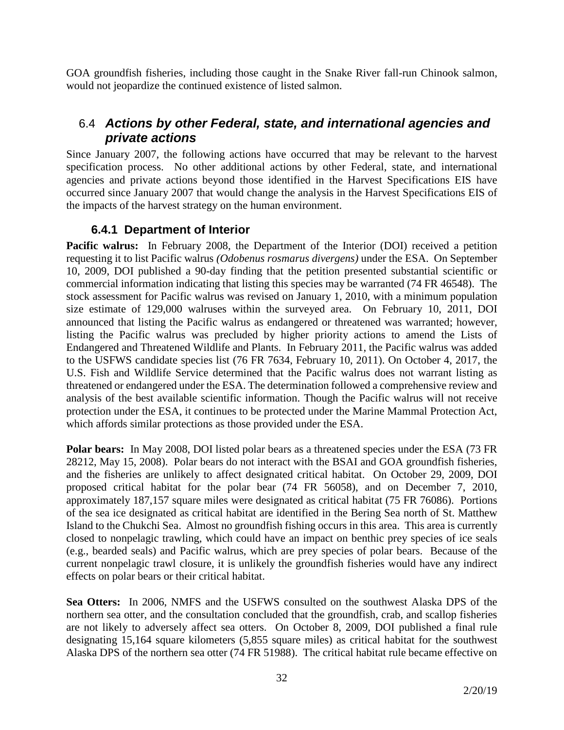GOA groundfish fisheries, including those caught in the Snake River fall-run Chinook salmon, would not jeopardize the continued existence of listed salmon.

### <span id="page-31-0"></span>6.4 *Actions by other Federal, state, and international agencies and private actions*

Since January 2007, the following actions have occurred that may be relevant to the harvest specification process. No other additional actions by other Federal, state, and international agencies and private actions beyond those identified in the Harvest Specifications EIS have occurred since January 2007 that would change the analysis in the Harvest Specifications EIS of the impacts of the harvest strategy on the human environment.

#### **6.4.1 Department of Interior**

<span id="page-31-1"></span>Pacific walrus: In February 2008, the Department of the Interior (DOI) received a petition listing the Pacific walrus was precluded by higher priority actions to amend the Lists of Endangered and Threatened Wildlife and Plants. In February 2011, the Pacific walrus was added threatened or endangered under the ESA. The determination followed a comprehensive review and requesting it to list Pacific walrus *(Odobenus rosmarus divergens)* under the ESA. On September 10, 2009, DOI published a 90-day finding that the petition presented substantial scientific or commercial information indicating that listing this species may be warranted (74 FR 46548). The stock assessment for Pacific walrus was revised on January 1, 2010, with a minimum population size estimate of 129,000 walruses within the surveyed area. On February 10, 2011, DOI announced that listing the Pacific walrus as endangered or threatened was warranted; however, to the USFWS candidate species list (76 FR 7634, February 10, 2011). On October 4, 2017, the U.S. Fish and Wildlife Service determined that the Pacific walrus does not warrant listing as analysis of the best available scientific information. Though the Pacific walrus will not receive protection under the ESA, it continues to be protected under the Marine Mammal Protection Act, which affords similar protections as those provided under the ESA.

 **Polar bears:** In May 2008, DOI listed polar bears as a threatened species under the ESA (73 FR 28212, May 15, 2008). Polar bears do not interact with the BSAI and GOA groundfish fisheries, and the fisheries are unlikely to affect designated critical habitat. On October 29, 2009, DOI proposed critical habitat for the polar bear (74 FR 56058), and on December 7, 2010, approximately 187,157 square miles were designated as critical habitat (75 FR 76086). Portions of the sea ice designated as critical habitat are identified in the Bering Sea north of St. Matthew Island to the Chukchi Sea. Almost no groundfish fishing occurs in this area. This area is currently closed to nonpelagic trawling, which could have an impact on benthic prey species of ice seals (e.g., bearded seals) and Pacific walrus, which are prey species of polar bears. Because of the current nonpelagic trawl closure, it is unlikely the groundfish fisheries would have any indirect effects on polar bears or their critical habitat.

Sea Otters: In 2006, NMFS and the USFWS consulted on the southwest Alaska DPS of the northern sea otter, and the consultation concluded that the groundfish, crab, and scallop fisheries are not likely to adversely affect sea otters. On October 8, 2009, DOI published a final rule designating 15,164 square kilometers (5,855 square miles) as critical habitat for the southwest Alaska DPS of the northern sea otter (74 FR 51988). The critical habitat rule became effective on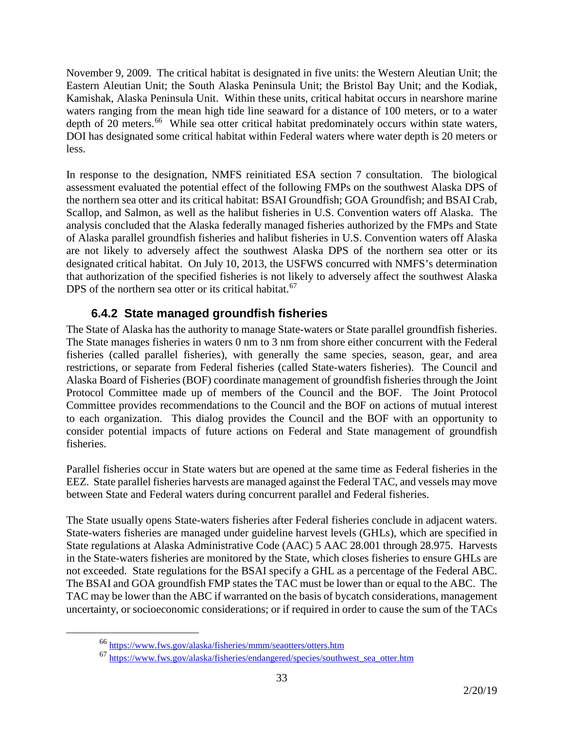depth of 20 meters.<sup>[66](#page-32-1)</sup> While sea otter critical habitat predominately occurs within state waters, less. November 9, 2009. The critical habitat is designated in five units: the Western Aleutian Unit; the Eastern Aleutian Unit; the South Alaska Peninsula Unit; the Bristol Bay Unit; and the Kodiak, Kamishak, Alaska Peninsula Unit. Within these units, critical habitat occurs in nearshore marine waters ranging from the mean high tide line seaward for a distance of 100 meters, or to a water DOI has designated some critical habitat within Federal waters where water depth is 20 meters or

 of Alaska parallel groundfish fisheries and halibut fisheries in U.S. Convention waters off Alaska DPS of the northern sea otter or its critical habitat.<sup>67</sup> In response to the designation, NMFS reinitiated ESA section 7 consultation. The biological assessment evaluated the potential effect of the following FMPs on the southwest Alaska DPS of the northern sea otter and its critical habitat: BSAI Groundfish; GOA Groundfish; and BSAI Crab, Scallop, and Salmon, as well as the halibut fisheries in U.S. Convention waters off Alaska. The analysis concluded that the Alaska federally managed fisheries authorized by the FMPs and State are not likely to adversely affect the southwest Alaska DPS of the northern sea otter or its designated critical habitat. On July 10, 2013, the USFWS concurred with NMFS's determination that authorization of the specified fisheries is not likely to adversely affect the southwest Alaska

### <span id="page-32-0"></span>**6.4.2 State managed groundfish fisheries**

The State of Alaska has the authority to manage State-waters or State parallel groundfish fisheries. Protocol Committee made up of members of the Council and the BOF. The Joint Protocol Committee provides recommendations to the Council and the BOF on actions of mutual interest The State manages fisheries in waters 0 nm to 3 nm from shore either concurrent with the Federal fisheries (called parallel fisheries), with generally the same species, season, gear, and area restrictions, or separate from Federal fisheries (called State-waters fisheries). The Council and Alaska Board of Fisheries (BOF) coordinate management of groundfish fisheries through the Joint to each organization. This dialog provides the Council and the BOF with an opportunity to consider potential impacts of future actions on Federal and State management of groundfish fisheries.

Parallel fisheries occur in State waters but are opened at the same time as Federal fisheries in the EEZ. State parallel fisheries harvests are managed against the Federal TAC, and vessels may move between State and Federal waters during concurrent parallel and Federal fisheries.

The State usually opens State-waters fisheries after Federal fisheries conclude in adjacent waters. not exceeded. State regulations for the BSAI specify a GHL as a percentage of the Federal ABC. State-waters fisheries are managed under guideline harvest levels (GHLs), which are specified in State regulations at Alaska Administrative Code (AAC) 5 AAC 28.001 through 28.975. Harvests in the State-waters fisheries are monitored by the State, which closes fisheries to ensure GHLs are The BSAI and GOA groundfish FMP states the TAC must be lower than or equal to the ABC. The TAC may be lower than the ABC if warranted on the basis of bycatch considerations, management uncertainty, or socioeconomic considerations; or if required in order to cause the sum of the TACs

<span id="page-32-1"></span><sup>6</sup>[6 https://www.fws.gov/alaska/fisheries/mmm/seaotters/otters.htm](https://www.fws.gov/alaska/fisheries/mmm/seaotters/otters.htm) 

<span id="page-32-2"></span><sup>6</sup>[7 https://www.fws.gov/alaska/fisheries/endangered/species/southwest\\_sea\\_otter.htm](https://www.fws.gov/alaska/fisheries/endangered/species/southwest_sea_otter.htm)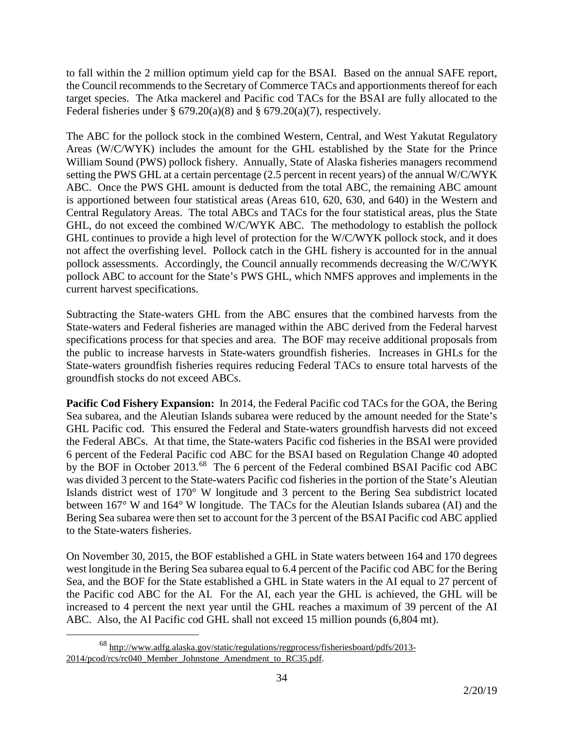to fall within the 2 million optimum yield cap for the BSAI. Based on the annual SAFE report, target species. The Atka mackerel and Pacific cod TACs for the BSAI are fully allocated to the the Council recommends to the Secretary of Commerce TACs and apportionments thereof for each Federal fisheries under §  $679.20(a)(8)$  and §  $679.20(a)(7)$ , respectively.

 William Sound (PWS) pollock fishery. Annually, State of Alaska fisheries managers recommend setting the PWS GHL at a certain percentage (2.5 percent in recent years) of the annual W/C/WYK pollock ABC to account for the State's PWS GHL, which NMFS approves and implements in the The ABC for the pollock stock in the combined Western, Central, and West Yakutat Regulatory Areas (W/C/WYK) includes the amount for the GHL established by the State for the Prince ABC. Once the PWS GHL amount is deducted from the total ABC, the remaining ABC amount is apportioned between four statistical areas (Areas 610, 620, 630, and 640) in the Western and Central Regulatory Areas. The total ABCs and TACs for the four statistical areas, plus the State GHL, do not exceed the combined W/C/WYK ABC. The methodology to establish the pollock GHL continues to provide a high level of protection for the W/C/WYK pollock stock, and it does not affect the overfishing level. Pollock catch in the GHL fishery is accounted for in the annual pollock assessments. Accordingly, the Council annually recommends decreasing the W/C/WYK current harvest specifications.

 State-waters and Federal fisheries are managed within the ABC derived from the Federal harvest specifications process for that species and area. The BOF may receive additional proposals from Subtracting the State-waters GHL from the ABC ensures that the combined harvests from the the public to increase harvests in State-waters groundfish fisheries. Increases in GHLs for the State-waters groundfish fisheries requires reducing Federal TACs to ensure total harvests of the groundfish stocks do not exceed ABCs.

 **Pacific Cod Fishery Expansion:** In 2014, the Federal Pacific cod TACs for the GOA, the Bering the Federal ABCs. At that time, the State-waters Pacific cod fisheries in the BSAI were provided 6 percent of the Federal Pacific cod ABC for the BSAI based on Regulation Change 40 adopted by the BOF in October 2013.<sup>[68](#page-33-0)</sup> The 6 percent of the Federal combined BSAI Pacific cod ABC Islands district west of 170° W longitude and 3 percent to the Bering Sea subdistrict located Bering Sea subarea were then set to account for the 3 percent of the BSAI Pacific cod ABC applied to the State-waters fisheries. Sea subarea, and the Aleutian Islands subarea were reduced by the amount needed for the State's GHL Pacific cod. This ensured the Federal and State-waters groundfish harvests did not exceed was divided 3 percent to the State-waters Pacific cod fisheries in the portion of the State's Aleutian between 167° W and 164° W longitude. The TACs for the Aleutian Islands subarea (AI) and the

 the Pacific cod ABC for the AI. For the AI, each year the GHL is achieved, the GHL will be On November 30, 2015, the BOF established a GHL in State waters between 164 and 170 degrees west longitude in the Bering Sea subarea equal to 6.4 percent of the Pacific cod ABC for the Bering Sea, and the BOF for the State established a GHL in State waters in the AI equal to 27 percent of increased to 4 percent the next year until the GHL reaches a maximum of 39 percent of the AI ABC. Also, the AI Pacific cod GHL shall not exceed 15 million pounds (6,804 mt).

<span id="page-33-0"></span><sup>68</sup> http://www.adfg.alaska.gov/static/regulations/regprocess/fisheriesboard/pdfs/2013- 2014/pcod/rcs/rc040\_Member\_Johnstone\_Amendment\_to\_RC35.pdf.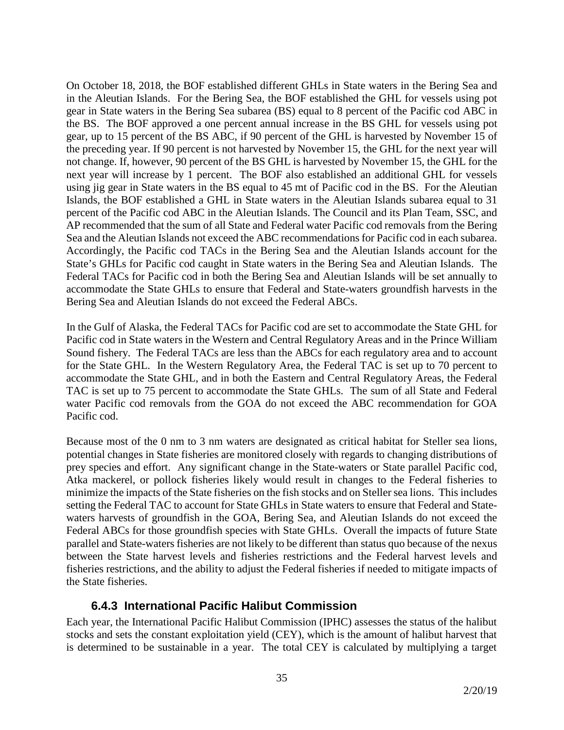next year will increase by 1 percent. The BOF also established an additional GHL for vessels using jig gear in State waters in the BS equal to 45 mt of Pacific cod in the BS. For the Aleutian percent of the Pacific cod ABC in the Aleutian Islands. The Council and its Plan Team, SSC, and AP recommended that the sum of all State and Federal water Pacific cod removals from the Bering State's GHLs for Pacific cod caught in State waters in the Bering Sea and Aleutian Islands. The accommodate the State GHLs to ensure that Federal and State-waters groundfish harvests in the Bering Sea and Aleutian Islands do not exceed the Federal ABCs. On October 18, 2018, the BOF established different GHLs in State waters in the Bering Sea and in the Aleutian Islands. For the Bering Sea, the BOF established the GHL for vessels using pot gear in State waters in the Bering Sea subarea (BS) equal to 8 percent of the Pacific cod ABC in the BS. The BOF approved a one percent annual increase in the BS GHL for vessels using pot gear, up to 15 percent of the BS ABC, if 90 percent of the GHL is harvested by November 15 of the preceding year. If 90 percent is not harvested by November 15, the GHL for the next year will not change. If, however, 90 percent of the BS GHL is harvested by November 15, the GHL for the Islands, the BOF established a GHL in State waters in the Aleutian Islands subarea equal to 31 Sea and the Aleutian Islands not exceed the ABC recommendations for Pacific cod in each subarea. Accordingly, the Pacific cod TACs in the Bering Sea and the Aleutian Islands account for the Federal TACs for Pacific cod in both the Bering Sea and Aleutian Islands will be set annually to

 In the Gulf of Alaska, the Federal TACs for Pacific cod are set to accommodate the State GHL for for the State GHL. In the Western Regulatory Area, the Federal TAC is set up to 70 percent to TAC is set up to 75 percent to accommodate the State GHLs. The sum of all State and Federal Pacific cod in State waters in the Western and Central Regulatory Areas and in the Prince William Sound fishery. The Federal TACs are less than the ABCs for each regulatory area and to account accommodate the State GHL, and in both the Eastern and Central Regulatory Areas, the Federal water Pacific cod removals from the GOA do not exceed the ABC recommendation for GOA Pacific cod.

 prey species and effort. Any significant change in the State-waters or State parallel Pacific cod, minimize the impacts of the State fisheries on the fish stocks and on Steller sea lions. This includes between the State harvest levels and fisheries restrictions and the Federal harvest levels and Because most of the 0 nm to 3 nm waters are designated as critical habitat for Steller sea lions, potential changes in State fisheries are monitored closely with regards to changing distributions of Atka mackerel, or pollock fisheries likely would result in changes to the Federal fisheries to setting the Federal TAC to account for State GHLs in State waters to ensure that Federal and Statewaters harvests of groundfish in the GOA, Bering Sea, and Aleutian Islands do not exceed the Federal ABCs for those groundfish species with State GHLs. Overall the impacts of future State parallel and State-waters fisheries are not likely to be different than status quo because of the nexus fisheries restrictions, and the ability to adjust the Federal fisheries if needed to mitigate impacts of the State fisheries.

#### <span id="page-34-0"></span>**6.4.3 International Pacific Halibut Commission**

 Each year, the International Pacific Halibut Commission (IPHC) assesses the status of the halibut is determined to be sustainable in a year. The total CEY is calculated by multiplying a target stocks and sets the constant exploitation yield (CEY), which is the amount of halibut harvest that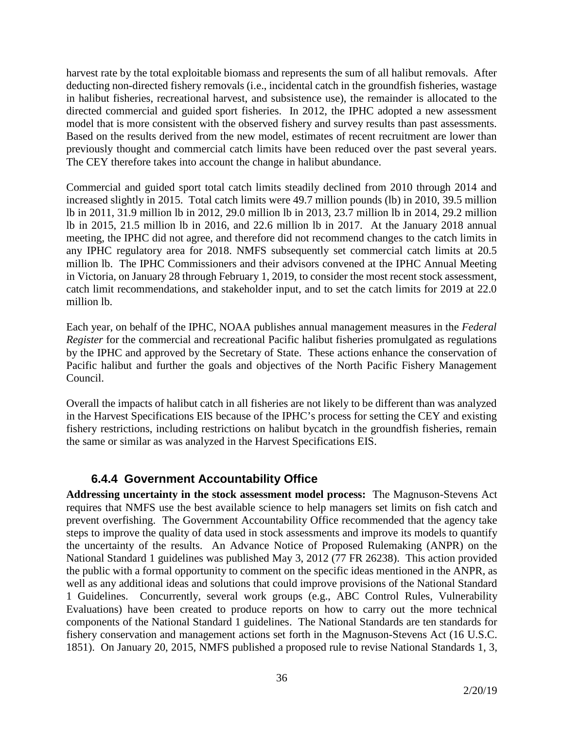model that is more consistent with the observed fishery and survey results than past assessments. previously thought and commercial catch limits have been reduced over the past several years. The CEY therefore takes into account the change in halibut abundance. harvest rate by the total exploitable biomass and represents the sum of all halibut removals. After deducting non-directed fishery removals (i.e., incidental catch in the groundfish fisheries, wastage in halibut fisheries, recreational harvest, and subsistence use), the remainder is allocated to the directed commercial and guided sport fisheries. In 2012, the IPHC adopted a new assessment Based on the results derived from the new model, estimates of recent recruitment are lower than

 Commercial and guided sport total catch limits steadily declined from 2010 through 2014 and million lb. The IPHC Commissioners and their advisors convened at the IPHC Annual Meeting increased slightly in 2015. Total catch limits were 49.7 million pounds (lb) in 2010, 39.5 million lb in 2011, 31.9 million lb in 2012, 29.0 million lb in 2013, 23.7 million lb in 2014, 29.2 million lb in 2015, 21.5 million lb in 2016, and 22.6 million lb in 2017. At the January 2018 annual meeting, the IPHC did not agree, and therefore did not recommend changes to the catch limits in any IPHC regulatory area for 2018. NMFS subsequently set commercial catch limits at 20.5 in Victoria, on January 28 through February 1, 2019, to consider the most recent stock assessment, catch limit recommendations, and stakeholder input, and to set the catch limits for 2019 at 22.0 million lb.

 by the IPHC and approved by the Secretary of State. These actions enhance the conservation of Each year, on behalf of the IPHC, NOAA publishes annual management measures in the *Federal Register* for the commercial and recreational Pacific halibut fisheries promulgated as regulations Pacific halibut and further the goals and objectives of the North Pacific Fishery Management Council.

 in the Harvest Specifications EIS because of the IPHC's process for setting the CEY and existing Overall the impacts of halibut catch in all fisheries are not likely to be different than was analyzed fishery restrictions, including restrictions on halibut bycatch in the groundfish fisheries, remain the same or similar as was analyzed in the Harvest Specifications EIS.

#### **6.4.4 Government Accountability Office**

<span id="page-35-0"></span> **Addressing uncertainty in the stock assessment model process:** The Magnuson-Stevens Act steps to improve the quality of data used in stock assessments and improve its models to quantify fishery conservation and management actions set forth in the Magnuson-Stevens Act (16 U.S.C. requires that NMFS use the best available science to help managers set limits on fish catch and prevent overfishing. The Government Accountability Office recommended that the agency take the uncertainty of the results. An Advance Notice of Proposed Rulemaking (ANPR) on the National Standard 1 guidelines was published May 3, 2012 (77 FR 26238). This action provided the public with a formal opportunity to comment on the specific ideas mentioned in the ANPR, as well as any additional ideas and solutions that could improve provisions of the National Standard 1 Guidelines. Concurrently, several work groups (e.g., ABC Control Rules, Vulnerability Evaluations) have been created to produce reports on how to carry out the more technical components of the National Standard 1 guidelines. The National Standards are ten standards for 1851). On January 20, 2015, NMFS published a proposed rule to revise National Standards 1, 3,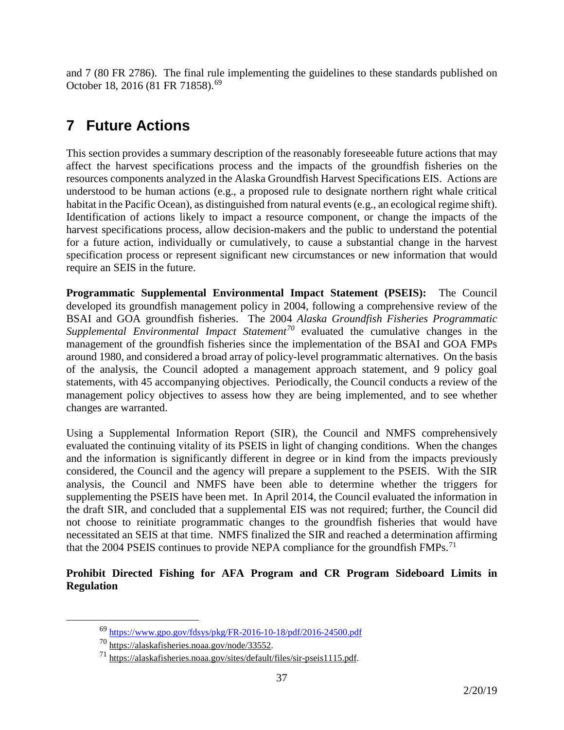October 18, 2016 (81 FR 71858).<sup>[69](#page-36-1)</sup> and 7 (80 FR 2786). The final rule implementing the guidelines to these standards published on

## <span id="page-36-0"></span>**7 Future Actions**

This section provides a summary description of the reasonably foreseeable future actions that may affect the harvest specifications process and the impacts of the groundfish fisheries on the resources components analyzed in the Alaska Groundfish Harvest Specifications EIS. Actions are understood to be human actions (e.g., a proposed rule to designate northern right whale critical habitat in the Pacific Ocean), as distinguished from natural events (e.g., an ecological regime shift). Identification of actions likely to impact a resource component, or change the impacts of the harvest specifications process, allow decision-makers and the public to understand the potential for a future action, individually or cumulatively, to cause a substantial change in the harvest specification process or represent significant new circumstances or new information that would require an SEIS in the future.

 **Programmatic Supplemental Environmental Impact Statement (PSEIS):** The Council management of the groundfish fisheries since the implementation of the BSAI and GOA FMPs of the analysis, the Council adopted a management approach statement, and 9 policy goal changes are warranted. developed its groundfish management policy in 2004, following a comprehensive review of the BSAI and GOA groundfish fisheries. The 2004 *Alaska Groundfish Fisheries Programmatic Supplemental Environmental Impact Statement[70](#page-36-2)* evaluated the cumulative changes in the around 1980, and considered a broad array of policy-level programmatic alternatives. On the basis statements, with 45 accompanying objectives. Periodically, the Council conducts a review of the management policy objectives to assess how they are being implemented, and to see whether

Using a Supplemental Information Report (SIR), the Council and NMFS comprehensively evaluated the continuing vitality of its PSEIS in light of changing conditions. When the changes and the information is significantly different in degree or in kind from the impacts previously considered, the Council and the agency will prepare a supplement to the PSEIS. With the SIR analysis, the Council and NMFS have been able to determine whether the triggers for supplementing the PSEIS have been met. In April 2014, the Council evaluated the information in the draft SIR, and concluded that a supplemental EIS was not required; further, the Council did not choose to reinitiate programmatic changes to the groundfish fisheries that would have necessitated an SEIS at that time. NMFS finalized the SIR and reached a determination affirming that the 2004 PSEIS continues to provide NEPA compliance for the groundfish FMPs.<sup>71</sup>

#### <span id="page-36-2"></span><span id="page-36-1"></span> **Prohibit Directed Fishing for AFA Program and CR Program Sideboard Limits in Regulation**

<sup>6</sup>[9 https://www.gpo.gov/fdsys/pkg/FR-2016-10-18/pdf/2016-24500.pdf](https://www.gpo.gov/fdsys/pkg/FR-2016-10-18/pdf/2016-24500.pdf) 

<span id="page-36-3"></span> $^{70}$  https://alaskafisheries.noaa.gov/node/33552.<br> $^{71}$  https://alaskafisheries.noaa.gov/sites/default/files/sir-pseis1115.pdf.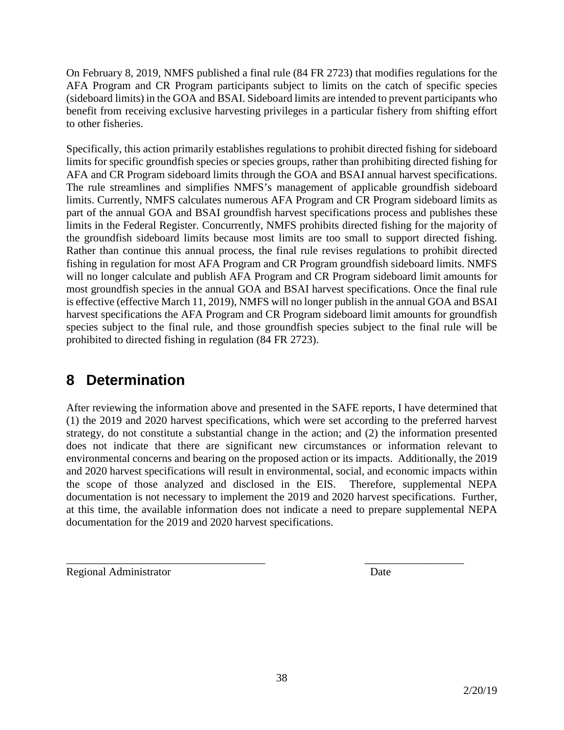On February 8, 2019, NMFS published a final rule (84 FR 2723) that modifies regulations for the AFA Program and CR Program participants subject to limits on the catch of specific species (sideboard limits) in the GOA and BSAI. Sideboard limits are intended to prevent participants who benefit from receiving exclusive harvesting privileges in a particular fishery from shifting effort to other fisheries.

 AFA and CR Program sideboard limits through the GOA and BSAI annual harvest specifications. part of the annual GOA and BSAI groundfish harvest specifications process and publishes these limits in the Federal Register. Concurrently, NMFS prohibits directed fishing for the majority of Rather than continue this annual process, the final rule revises regulations to prohibit directed most groundfish species in the annual GOA and BSAI harvest specifications. Once the final rule is effective (effective March 11, 2019), NMFS will no longer publish in the annual GOA and BSAI Specifically, this action primarily establishes regulations to prohibit directed fishing for sideboard limits for specific groundfish species or species groups, rather than prohibiting directed fishing for The rule streamlines and simplifies NMFS's management of applicable groundfish sideboard limits. Currently, NMFS calculates numerous AFA Program and CR Program sideboard limits as the groundfish sideboard limits because most limits are too small to support directed fishing. fishing in regulation for most AFA Program and CR Program groundfish sideboard limits. NMFS will no longer calculate and publish AFA Program and CR Program sideboard limit amounts for harvest specifications the AFA Program and CR Program sideboard limit amounts for groundfish species subject to the final rule, and those groundfish species subject to the final rule will be prohibited to directed fishing in regulation (84 FR 2723).

## <span id="page-37-0"></span>**8 Determination**

 documentation is not necessary to implement the 2019 and 2020 harvest specifications. Further, After reviewing the information above and presented in the SAFE reports, I have determined that (1) the 2019 and 2020 harvest specifications, which were set according to the preferred harvest strategy, do not constitute a substantial change in the action; and (2) the information presented does not indicate that there are significant new circumstances or information relevant to environmental concerns and bearing on the proposed action or its impacts. Additionally, the 2019 and 2020 harvest specifications will result in environmental, social, and economic impacts within the scope of those analyzed and disclosed in the EIS. Therefore, supplemental NEPA at this time, the available information does not indicate a need to prepare supplemental NEPA documentation for the 2019 and 2020 harvest specifications.

\_\_\_\_\_\_\_\_\_\_\_\_\_\_\_\_\_\_\_\_\_\_\_\_\_\_\_\_\_\_\_\_\_\_\_\_ \_\_\_\_\_\_\_\_\_\_\_\_\_\_\_\_\_\_

Regional Administrator Date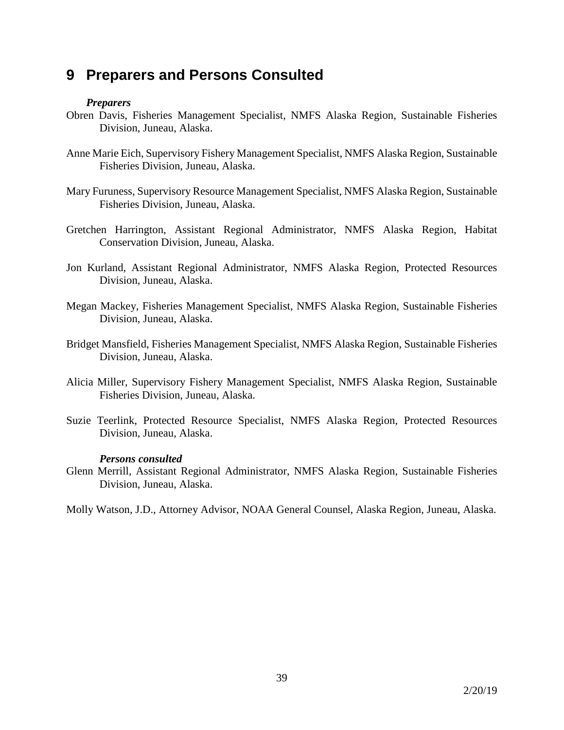## <span id="page-38-0"></span>**9 Preparers and Persons Consulted**

#### *Preparers*

- Obren Davis, Fisheries Management Specialist, NMFS Alaska Region, Sustainable Fisheries Division, Juneau, Alaska.
- Anne Marie Eich, Supervisory Fishery Management Specialist, NMFS Alaska Region, Sustainable Fisheries Division, Juneau, Alaska.
- Mary Furuness, Supervisory Resource Management Specialist, NMFS Alaska Region, Sustainable Fisheries Division, Juneau, Alaska.
- Gretchen Harrington, Assistant Regional Administrator, NMFS Alaska Region, Habitat Conservation Division, Juneau, Alaska.
- Jon Kurland, Assistant Regional Administrator, NMFS Alaska Region, Protected Resources Division, Juneau, Alaska.
- Division, Juneau, Alaska. Megan Mackey, Fisheries Management Specialist, NMFS Alaska Region, Sustainable Fisheries
- Bridget Mansfield, Fisheries Management Specialist, NMFS Alaska Region, Sustainable Fisheries Division, Juneau, Alaska.
- Alicia Miller, Supervisory Fishery Management Specialist, NMFS Alaska Region, Sustainable Fisheries Division, Juneau, Alaska.
- Suzie Teerlink, Protected Resource Specialist, NMFS Alaska Region, Protected Resources Division, Juneau, Alaska.

#### *Persons consulted*

Glenn Merrill, Assistant Regional Administrator, NMFS Alaska Region, Sustainable Fisheries Division, Juneau, Alaska.

Molly Watson, J.D., Attorney Advisor, NOAA General Counsel, Alaska Region, Juneau, Alaska.